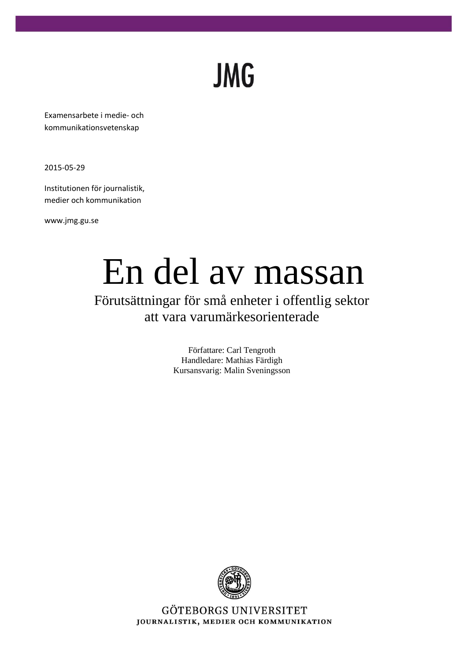# **JMG**

Examensarbete i medie- och kommunikationsvetenskap

2015-05-29

Institutionen för journalistik, medier och kommunikation

www.jmg.gu.se

# En del av massan

Förutsättningar för små enheter i offentlig sektor att vara varumärkesorienterade

> Författare: Carl Tengroth Handledare: Mathias Färdigh Kursansvarig: Malin Sveningsson



GÖTEBORGS UNIVERSITET JOURNALISTIK, MEDIER OCH KOMMUNIKATION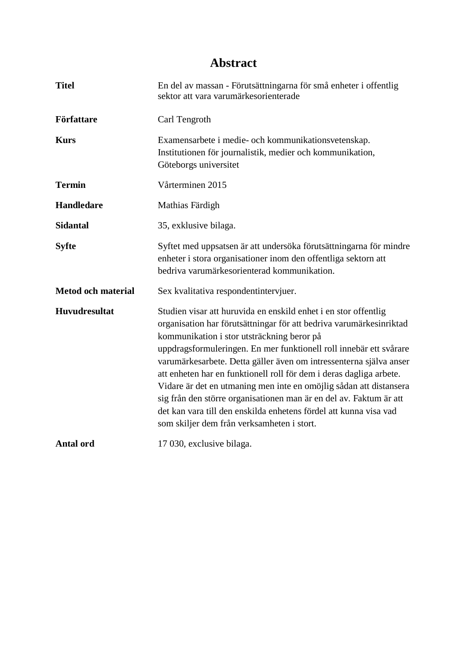## **Abstract**

| <b>Titel</b>              | En del av massan - Förutsättningarna för små enheter i offentlig<br>sektor att vara varumärkesorienterade                                                                                                                                                                                                                                                                                                                                                                                                                                                                                                                                                              |  |  |
|---------------------------|------------------------------------------------------------------------------------------------------------------------------------------------------------------------------------------------------------------------------------------------------------------------------------------------------------------------------------------------------------------------------------------------------------------------------------------------------------------------------------------------------------------------------------------------------------------------------------------------------------------------------------------------------------------------|--|--|
| Författare                | Carl Tengroth                                                                                                                                                                                                                                                                                                                                                                                                                                                                                                                                                                                                                                                          |  |  |
| <b>Kurs</b>               | Examensarbete i medie- och kommunikationsvetenskap.<br>Institutionen för journalistik, medier och kommunikation,<br>Göteborgs universitet                                                                                                                                                                                                                                                                                                                                                                                                                                                                                                                              |  |  |
| <b>Termin</b>             | Vårterminen 2015                                                                                                                                                                                                                                                                                                                                                                                                                                                                                                                                                                                                                                                       |  |  |
| <b>Handledare</b>         | Mathias Färdigh                                                                                                                                                                                                                                                                                                                                                                                                                                                                                                                                                                                                                                                        |  |  |
| <b>Sidantal</b>           | 35, exklusive bilaga.                                                                                                                                                                                                                                                                                                                                                                                                                                                                                                                                                                                                                                                  |  |  |
| <b>Syfte</b>              | Syftet med uppsatsen är att undersöka förutsättningarna för mindre<br>enheter i stora organisationer inom den offentliga sektorn att<br>bedriva varumärkesorienterad kommunikation.                                                                                                                                                                                                                                                                                                                                                                                                                                                                                    |  |  |
| <b>Metod och material</b> | Sex kvalitativa respondentintervjuer.                                                                                                                                                                                                                                                                                                                                                                                                                                                                                                                                                                                                                                  |  |  |
| <b>Huvudresultat</b>      | Studien visar att huruvida en enskild enhet i en stor offentlig<br>organisation har förutsättningar för att bedriva varumärkesinriktad<br>kommunikation i stor utsträckning beror på<br>uppdragsformuleringen. En mer funktionell roll innebär ett svårare<br>varumärkesarbete. Detta gäller även om intressenterna själva anser<br>att enheten har en funktionell roll för dem i deras dagliga arbete.<br>Vidare är det en utmaning men inte en omöjlig sådan att distansera<br>sig från den större organisationen man är en del av. Faktum är att<br>det kan vara till den enskilda enhetens fördel att kunna visa vad<br>som skiljer dem från verksamheten i stort. |  |  |
| <b>Antal ord</b>          | 17 030, exclusive bilaga.                                                                                                                                                                                                                                                                                                                                                                                                                                                                                                                                                                                                                                              |  |  |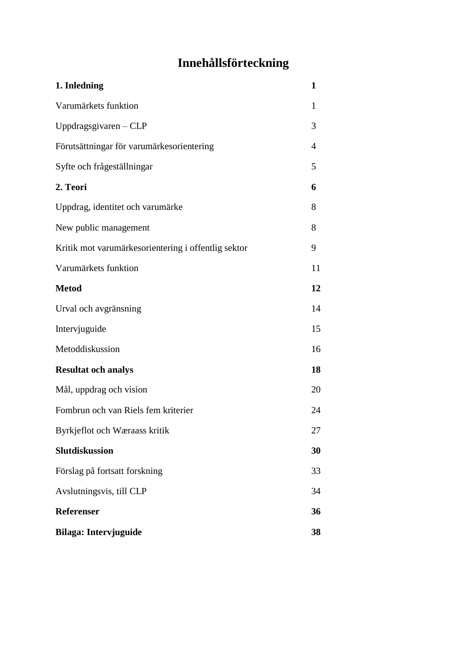## **Innehållsförteckning**

| 1. Inledning                                        | 1  |
|-----------------------------------------------------|----|
| Varumärkets funktion                                | 1  |
| Uppdragsgivaren $-CLP$                              | 3  |
| Förutsättningar för varumärkesorientering           | 4  |
| Syfte och frågeställningar                          | 5  |
| 2. Teori                                            | 6  |
| Uppdrag, identitet och varumärke                    | 8  |
| New public management                               | 8  |
| Kritik mot varumärkesorientering i offentlig sektor | 9  |
| Varumärkets funktion                                | 11 |
| <b>Metod</b>                                        | 12 |
| Urval och avgränsning                               | 14 |
| Intervjuguide                                       | 15 |
| Metoddiskussion                                     | 16 |
| <b>Resultat och analys</b>                          | 18 |
| Mål, uppdrag och vision                             | 20 |
| Fombrun och van Riels fem kriterier                 | 24 |
| Byrkjeflot och Wæraass kritik                       | 27 |
| <b>Slutdiskussion</b>                               | 30 |
| Förslag på fortsatt forskning                       | 33 |
| Avslutningsvis, till CLP                            | 34 |
| Referenser                                          | 36 |
| Bilaga: Intervjuguide                               | 38 |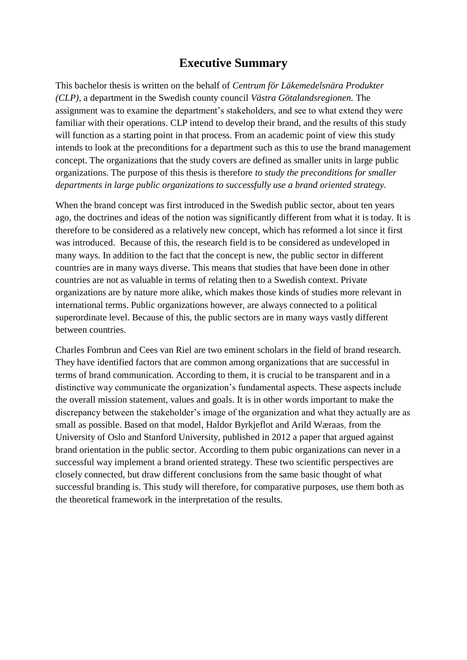## **Executive Summary**

This bachelor thesis is written on the behalf of *Centrum för Läkemedelsnära Produkter (CLP),* a department in the Swedish county council *Västra Götalandsregionen.* The assignment was to examine the department's stakeholders, and see to what extend they were familiar with their operations. CLP intend to develop their brand, and the results of this study will function as a starting point in that process. From an academic point of view this study intends to look at the preconditions for a department such as this to use the brand management concept. The organizations that the study covers are defined as smaller units in large public organizations. The purpose of this thesis is therefore *to study the preconditions for smaller departments in large public organizations to successfully use a brand oriented strategy.*

When the brand concept was first introduced in the Swedish public sector, about ten years ago, the doctrines and ideas of the notion was significantly different from what it is today. It is therefore to be considered as a relatively new concept, which has reformed a lot since it first was introduced. Because of this, the research field is to be considered as undeveloped in many ways. In addition to the fact that the concept is new, the public sector in different countries are in many ways diverse. This means that studies that have been done in other countries are not as valuable in terms of relating then to a Swedish context. Private organizations are by nature more alike, which makes those kinds of studies more relevant in international terms. Public organizations however, are always connected to a political superordinate level. Because of this, the public sectors are in many ways vastly different between countries.

Charles Fombrun and Cees van Riel are two eminent scholars in the field of brand research. They have identified factors that are common among organizations that are successful in terms of brand communication. According to them, it is crucial to be transparent and in a distinctive way communicate the organization's fundamental aspects. These aspects include the overall mission statement, values and goals. It is in other words important to make the discrepancy between the stakeholder's image of the organization and what they actually are as small as possible. Based on that model, Haldor Byrkjeflot and Arild Wæraas, from the University of Oslo and Stanford University, published in 2012 a paper that argued against brand orientation in the public sector. According to them pubic organizations can never in a successful way implement a brand oriented strategy. These two scientific perspectives are closely connected, but draw different conclusions from the same basic thought of what successful branding is. This study will therefore, for comparative purposes, use them both as the theoretical framework in the interpretation of the results.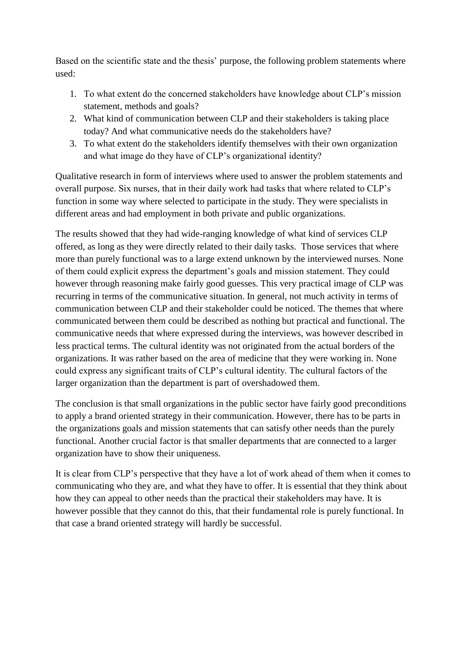Based on the scientific state and the thesis' purpose, the following problem statements where used:

- 1. To what extent do the concerned stakeholders have knowledge about CLP's mission statement, methods and goals?
- 2. What kind of communication between CLP and their stakeholders is taking place today? And what communicative needs do the stakeholders have?
- 3. To what extent do the stakeholders identify themselves with their own organization and what image do they have of CLP's organizational identity?

Qualitative research in form of interviews where used to answer the problem statements and overall purpose. Six nurses, that in their daily work had tasks that where related to CLP's function in some way where selected to participate in the study. They were specialists in different areas and had employment in both private and public organizations.

The results showed that they had wide-ranging knowledge of what kind of services CLP offered, as long as they were directly related to their daily tasks. Those services that where more than purely functional was to a large extend unknown by the interviewed nurses. None of them could explicit express the department's goals and mission statement. They could however through reasoning make fairly good guesses. This very practical image of CLP was recurring in terms of the communicative situation. In general, not much activity in terms of communication between CLP and their stakeholder could be noticed. The themes that where communicated between them could be described as nothing but practical and functional. The communicative needs that where expressed during the interviews, was however described in less practical terms. The cultural identity was not originated from the actual borders of the organizations. It was rather based on the area of medicine that they were working in. None could express any significant traits of CLP's cultural identity. The cultural factors of the larger organization than the department is part of overshadowed them.

The conclusion is that small organizations in the public sector have fairly good preconditions to apply a brand oriented strategy in their communication. However, there has to be parts in the organizations goals and mission statements that can satisfy other needs than the purely functional. Another crucial factor is that smaller departments that are connected to a larger organization have to show their uniqueness.

It is clear from CLP's perspective that they have a lot of work ahead of them when it comes to communicating who they are, and what they have to offer. It is essential that they think about how they can appeal to other needs than the practical their stakeholders may have. It is however possible that they cannot do this, that their fundamental role is purely functional. In that case a brand oriented strategy will hardly be successful.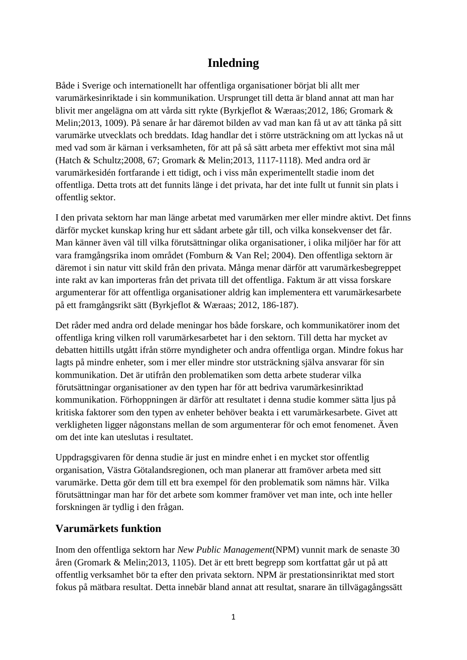## **Inledning**

Både i Sverige och internationellt har offentliga organisationer börjat bli allt mer varumärkesinriktade i sin kommunikation. Ursprunget till detta är bland annat att man har blivit mer angelägna om att vårda sitt rykte (Byrkjeflot & Wæraas;2012, 186; Gromark & Melin;2013, 1009). På senare år har däremot bilden av vad man kan få ut av att tänka på sitt varumärke utvecklats och breddats. Idag handlar det i större utsträckning om att lyckas nå ut med vad som är kärnan i verksamheten, för att på så sätt arbeta mer effektivt mot sina mål (Hatch & Schultz;2008, 67; Gromark & Melin;2013, 1117-1118). Med andra ord är varumärkesidén fortfarande i ett tidigt, och i viss mån experimentellt stadie inom det offentliga. Detta trots att det funnits länge i det privata, har det inte fullt ut funnit sin plats i offentlig sektor.

I den privata sektorn har man länge arbetat med varumärken mer eller mindre aktivt. Det finns därför mycket kunskap kring hur ett sådant arbete går till, och vilka konsekvenser det får. Man känner även väl till vilka förutsättningar olika organisationer, i olika miljöer har för att vara framgångsrika inom området (Fomburn & Van Rel; 2004). Den offentliga sektorn är däremot i sin natur vitt skild från den privata. Många menar därför att varumärkesbegreppet inte rakt av kan importeras från det privata till det offentliga. Faktum är att vissa forskare argumenterar för att offentliga organisationer aldrig kan implementera ett varumärkesarbete på ett framgångsrikt sätt (Byrkjeflot & Wæraas; 2012, 186-187).

Det råder med andra ord delade meningar hos både forskare, och kommunikatörer inom det offentliga kring vilken roll varumärkesarbetet har i den sektorn. Till detta har mycket av debatten hittills utgått ifrån större myndigheter och andra offentliga organ. Mindre fokus har lagts på mindre enheter, som i mer eller mindre stor utsträckning själva ansvarar för sin kommunikation. Det är utifrån den problematiken som detta arbete studerar vilka förutsättningar organisationer av den typen har för att bedriva varumärkesinriktad kommunikation. Förhoppningen är därför att resultatet i denna studie kommer sätta ljus på kritiska faktorer som den typen av enheter behöver beakta i ett varumärkesarbete. Givet att verkligheten ligger någonstans mellan de som argumenterar för och emot fenomenet. Även om det inte kan uteslutas i resultatet.

Uppdragsgivaren för denna studie är just en mindre enhet i en mycket stor offentlig organisation, Västra Götalandsregionen, och man planerar att framöver arbeta med sitt varumärke. Detta gör dem till ett bra exempel för den problematik som nämns här. Vilka förutsättningar man har för det arbete som kommer framöver vet man inte, och inte heller forskningen är tydlig i den frågan.

#### **Varumärkets funktion**

Inom den offentliga sektorn har *New Public Management*(NPM) vunnit mark de senaste 30 åren (Gromark & Melin;2013, 1105). Det är ett brett begrepp som kortfattat går ut på att offentlig verksamhet bör ta efter den privata sektorn. NPM är prestationsinriktat med stort fokus på mätbara resultat. Detta innebär bland annat att resultat, snarare än tillvägagångssätt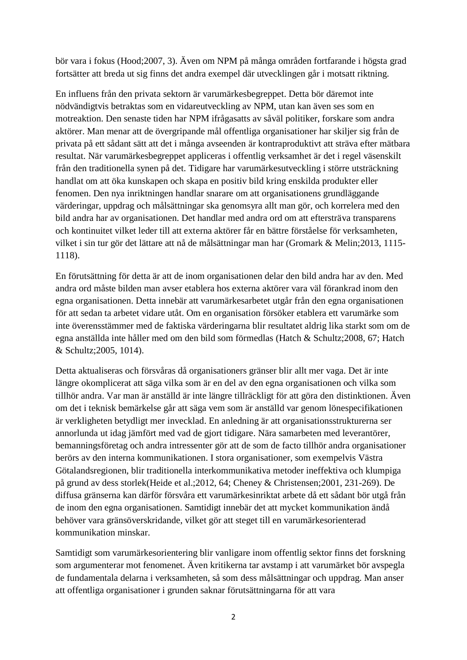bör vara i fokus (Hood;2007, 3). Även om NPM på många områden fortfarande i högsta grad fortsätter att breda ut sig finns det andra exempel där utvecklingen går i motsatt riktning.

En influens från den privata sektorn är varumärkesbegreppet. Detta bör däremot inte nödvändigtvis betraktas som en vidareutveckling av NPM, utan kan även ses som en motreaktion. Den senaste tiden har NPM ifrågasatts av såväl politiker, forskare som andra aktörer. Man menar att de övergripande mål offentliga organisationer har skiljer sig från de privata på ett sådant sätt att det i många avseenden är kontraproduktivt att sträva efter mätbara resultat. När varumärkesbegreppet appliceras i offentlig verksamhet är det i regel väsenskilt från den traditionella synen på det. Tidigare har varumärkesutveckling i större utsträckning handlat om att öka kunskapen och skapa en positiv bild kring enskilda produkter eller fenomen. Den nya inriktningen handlar snarare om att organisationens grundläggande värderingar, uppdrag och målsättningar ska genomsyra allt man gör, och korrelera med den bild andra har av organisationen. Det handlar med andra ord om att eftersträva transparens och kontinuitet vilket leder till att externa aktörer får en bättre förståelse för verksamheten, vilket i sin tur gör det lättare att nå de målsättningar man har (Gromark & Melin;2013, 1115- 1118).

En förutsättning för detta är att de inom organisationen delar den bild andra har av den. Med andra ord måste bilden man avser etablera hos externa aktörer vara väl förankrad inom den egna organisationen. Detta innebär att varumärkesarbetet utgår från den egna organisationen för att sedan ta arbetet vidare utåt. Om en organisation försöker etablera ett varumärke som inte överensstämmer med de faktiska värderingarna blir resultatet aldrig lika starkt som om de egna anställda inte håller med om den bild som förmedlas (Hatch & Schultz;2008, 67; Hatch & Schultz;2005, 1014).

Detta aktualiseras och försvåras då organisationers gränser blir allt mer vaga. Det är inte längre okomplicerat att säga vilka som är en del av den egna organisationen och vilka som tillhör andra. Var man är anställd är inte längre tillräckligt för att göra den distinktionen. Även om det i teknisk bemärkelse går att säga vem som är anställd var genom lönespecifikationen är verkligheten betydligt mer invecklad. En anledning är att organisationsstrukturerna ser annorlunda ut idag jämfört med vad de gjort tidigare. Nära samarbeten med leverantörer, bemanningsföretag och andra intressenter gör att de som de facto tillhör andra organisationer berörs av den interna kommunikationen. I stora organisationer, som exempelvis Västra Götalandsregionen, blir traditionella interkommunikativa metoder ineffektiva och klumpiga på grund av dess storlek(Heide et al.;2012, 64; Cheney & Christensen;2001, 231-269). De diffusa gränserna kan därför försvåra ett varumärkesinriktat arbete då ett sådant bör utgå från de inom den egna organisationen. Samtidigt innebär det att mycket kommunikation ändå behöver vara gränsöverskridande, vilket gör att steget till en varumärkesorienterad kommunikation minskar.

Samtidigt som varumärkesorientering blir vanligare inom offentlig sektor finns det forskning som argumenterar mot fenomenet. Även kritikerna tar avstamp i att varumärket bör avspegla de fundamentala delarna i verksamheten, så som dess målsättningar och uppdrag. Man anser att offentliga organisationer i grunden saknar förutsättningarna för att vara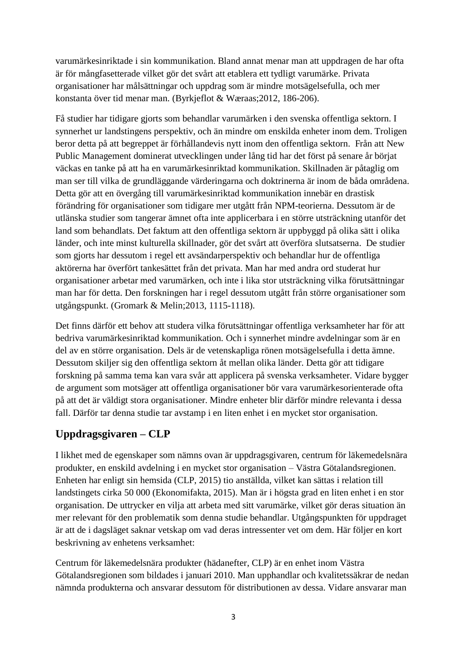varumärkesinriktade i sin kommunikation. Bland annat menar man att uppdragen de har ofta är för mångfasetterade vilket gör det svårt att etablera ett tydligt varumärke. Privata organisationer har målsättningar och uppdrag som är mindre motsägelsefulla, och mer konstanta över tid menar man. (Byrkjeflot & Wæraas;2012, 186-206).

Få studier har tidigare gjorts som behandlar varumärken i den svenska offentliga sektorn. I synnerhet ur landstingens perspektiv, och än mindre om enskilda enheter inom dem. Troligen beror detta på att begreppet är förhållandevis nytt inom den offentliga sektorn. Från att New Public Management dominerat utvecklingen under lång tid har det först på senare år börjat väckas en tanke på att ha en varumärkesinriktad kommunikation. Skillnaden är påtaglig om man ser till vilka de grundläggande värderingarna och doktrinerna är inom de båda områdena. Detta gör att en övergång till varumärkesinriktad kommunikation innebär en drastisk förändring för organisationer som tidigare mer utgått från NPM-teorierna. Dessutom är de utlänska studier som tangerar ämnet ofta inte applicerbara i en större utsträckning utanför det land som behandlats. Det faktum att den offentliga sektorn är uppbyggd på olika sätt i olika länder, och inte minst kulturella skillnader, gör det svårt att överföra slutsatserna. De studier som gjorts har dessutom i regel ett avsändarperspektiv och behandlar hur de offentliga aktörerna har överfört tankesättet från det privata. Man har med andra ord studerat hur organisationer arbetar med varumärken, och inte i lika stor utsträckning vilka förutsättningar man har för detta. Den forskningen har i regel dessutom utgått från större organisationer som utgångspunkt. (Gromark & Melin;2013, 1115-1118).

Det finns därför ett behov att studera vilka förutsättningar offentliga verksamheter har för att bedriva varumärkesinriktad kommunikation. Och i synnerhet mindre avdelningar som är en del av en större organisation. Dels är de vetenskapliga rönen motsägelsefulla i detta ämne. Dessutom skiljer sig den offentliga sektorn åt mellan olika länder. Detta gör att tidigare forskning på samma tema kan vara svår att applicera på svenska verksamheter. Vidare bygger de argument som motsäger att offentliga organisationer bör vara varumärkesorienterade ofta på att det är väldigt stora organisationer. Mindre enheter blir därför mindre relevanta i dessa fall. Därför tar denna studie tar avstamp i en liten enhet i en mycket stor organisation.

## **Uppdragsgivaren – CLP**

I likhet med de egenskaper som nämns ovan är uppdragsgivaren, centrum för läkemedelsnära produkter, en enskild avdelning i en mycket stor organisation – Västra Götalandsregionen. Enheten har enligt sin hemsida (CLP, 2015) tio anställda, vilket kan sättas i relation till landstingets cirka 50 000 (Ekonomifakta, 2015). Man är i högsta grad en liten enhet i en stor organisation. De uttrycker en vilja att arbeta med sitt varumärke, vilket gör deras situation än mer relevant för den problematik som denna studie behandlar. Utgångspunkten för uppdraget är att de i dagsläget saknar vetskap om vad deras intressenter vet om dem. Här följer en kort beskrivning av enhetens verksamhet:

Centrum för läkemedelsnära produkter (hädanefter, CLP) är en enhet inom Västra Götalandsregionen som bildades i januari 2010. Man upphandlar och kvalitetssäkrar de nedan nämnda produkterna och ansvarar dessutom för distributionen av dessa. Vidare ansvarar man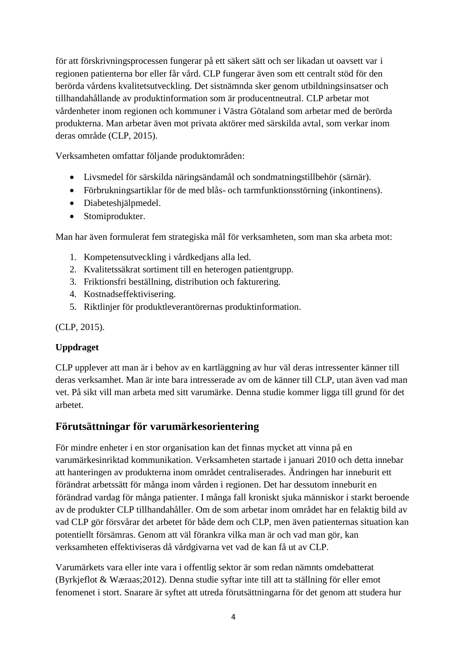för att förskrivningsprocessen fungerar på ett säkert sätt och ser likadan ut oavsett var i regionen patienterna bor eller får vård. CLP fungerar även som ett centralt stöd för den berörda vårdens kvalitetsutveckling. Det sistnämnda sker genom utbildningsinsatser och tillhandahållande av produktinformation som är producentneutral. CLP arbetar mot vårdenheter inom regionen och kommuner i Västra Götaland som arbetar med de berörda produkterna. Man arbetar även mot privata aktörer med särskilda avtal, som verkar inom deras område (CLP, 2015).

Verksamheten omfattar följande produktområden:

- Livsmedel för särskilda näringsändamål och sondmatningstillbehör (särnär).
- Förbrukningsartiklar för de med blås- och tarmfunktionsstörning (inkontinens).
- Diabeteshjälpmedel.
- Stomiprodukter.

Man har även formulerat fem strategiska mål för verksamheten, som man ska arbeta mot:

- 1. Kompetensutveckling i vårdkedjans alla led.
- 2. Kvalitetssäkrat sortiment till en heterogen patientgrupp.
- 3. Friktionsfri beställning, distribution och fakturering.
- 4. Kostnadseffektivisering.
- 5. Riktlinjer för produktleverantörernas produktinformation.

(CLP, 2015).

#### **Uppdraget**

CLP upplever att man är i behov av en kartläggning av hur väl deras intressenter känner till deras verksamhet. Man är inte bara intresserade av om de känner till CLP, utan även vad man vet. På sikt vill man arbeta med sitt varumärke. Denna studie kommer ligga till grund för det arbetet.

#### **Förutsättningar för varumärkesorientering**

För mindre enheter i en stor organisation kan det finnas mycket att vinna på en varumärkesinriktad kommunikation. Verksamheten startade i januari 2010 och detta innebar att hanteringen av produkterna inom området centraliserades. Ändringen har inneburit ett förändrat arbetssätt för många inom vården i regionen. Det har dessutom inneburit en förändrad vardag för många patienter. I många fall kroniskt sjuka människor i starkt beroende av de produkter CLP tillhandahåller. Om de som arbetar inom området har en felaktig bild av vad CLP gör försvårar det arbetet för både dem och CLP, men även patienternas situation kan potentiellt försämras. Genom att väl förankra vilka man är och vad man gör, kan verksamheten effektiviseras då vårdgivarna vet vad de kan få ut av CLP.

Varumärkets vara eller inte vara i offentlig sektor är som redan nämnts omdebatterat (Byrkjeflot & Wæraas;2012). Denna studie syftar inte till att ta ställning för eller emot fenomenet i stort. Snarare är syftet att utreda förutsättningarna för det genom att studera hur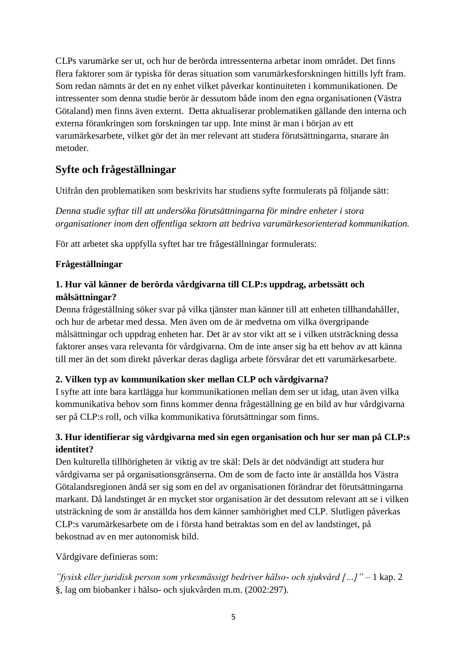CLPs varumärke ser ut, och hur de berörda intressenterna arbetar inom området. Det finns flera faktorer som är typiska för deras situation som varumärkesforskningen hittills lyft fram. Som redan nämnts är det en ny enhet vilket påverkar kontinuiteten i kommunikationen. De intressenter som denna studie berör är dessutom både inom den egna organisationen (Västra Götaland) men finns även externt. Detta aktualiserar problematiken gällande den interna och externa förankringen som forskningen tar upp. Inte minst är man i början av ett varumärkesarbete, vilket gör det än mer relevant att studera förutsättningarna, snarare än metoder.

## **Syfte och frågeställningar**

Utifrån den problematiken som beskrivits har studiens syfte formulerats på följande sätt:

*Denna studie syftar till att undersöka förutsättningarna för mindre enheter i stora organisationer inom den offentliga sektorn att bedriva varumärkesorienterad kommunikation.*

För att arbetet ska uppfylla syftet har tre frågeställningar formulerats:

#### **Frågeställningar**

#### **1. Hur väl känner de berörda vårdgivarna till CLP:s uppdrag, arbetssätt och målsättningar?**

Denna frågeställning söker svar på vilka tjänster man känner till att enheten tillhandahåller, och hur de arbetar med dessa. Men även om de är medvetna om vilka övergripande målsättningar och uppdrag enheten har. Det är av stor vikt att se i vilken utsträckning dessa faktorer anses vara relevanta för vårdgivarna. Om de inte anser sig ha ett behov av att känna till mer än det som direkt påverkar deras dagliga arbete försvårar det ett varumärkesarbete.

#### **2. Vilken typ av kommunikation sker mellan CLP och vårdgivarna?**

I syfte att inte bara kartlägga hur kommunikationen mellan dem ser ut idag, utan även vilka kommunikativa behov som finns kommer denna frågeställning ge en bild av hur vårdgivarna ser på CLP:s roll, och vilka kommunikativa förutsättningar som finns.

#### **3. Hur identifierar sig vårdgivarna med sin egen organisation och hur ser man på CLP:s identitet?**

Den kulturella tillhörigheten är viktig av tre skäl: Dels är det nödvändigt att studera hur vårdgivarna ser på organisationsgränserna. Om de som de facto inte är anställda hos Västra Götalandsregionen ändå ser sig som en del av organisationen förändrar det förutsättningarna markant. Då landstinget är en mycket stor organisation är det dessutom relevant att se i vilken utsträckning de som är anställda hos dem känner samhörighet med CLP. Slutligen påverkas CLP:s varumärkesarbete om de i första hand betraktas som en del av landstinget, på bekostnad av en mer autonomisk bild.

Vårdgivare definieras som:

*"fysisk eller juridisk person som yrkesmässigt bedriver hälso- och sjukvård […]"* – 1 kap. 2 §, lag om biobanker i hälso- och sjukvården m.m. (2002:297).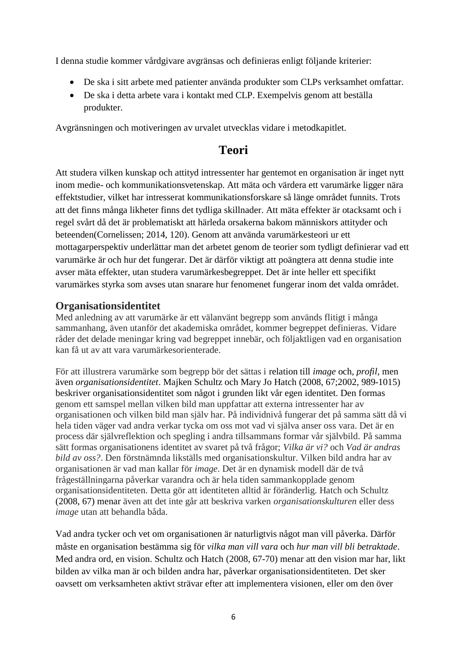I denna studie kommer vårdgivare avgränsas och definieras enligt följande kriterier:

- De ska i sitt arbete med patienter använda produkter som CLPs verksamhet omfattar.
- De ska i detta arbete vara i kontakt med CLP. Exempelvis genom att beställa produkter.

Avgränsningen och motiveringen av urvalet utvecklas vidare i metodkapitlet.

## **Teori**

Att studera vilken kunskap och attityd intressenter har gentemot en organisation är inget nytt inom medie- och kommunikationsvetenskap. Att mäta och värdera ett varumärke ligger nära effektstudier, vilket har intresserat kommunikationsforskare så länge området funnits. Trots att det finns många likheter finns det tydliga skillnader. Att mäta effekter är otacksamt och i regel svårt då det är problematiskt att härleda orsakerna bakom människors attityder och beteenden(Cornelissen; 2014, 120). Genom att använda varumärkesteori ur ett mottagarperspektiv underlättar man det arbetet genom de teorier som tydligt definierar vad ett varumärke är och hur det fungerar. Det är därför viktigt att poängtera att denna studie inte avser mäta effekter, utan studera varumärkesbegreppet. Det är inte heller ett specifikt varumärkes styrka som avses utan snarare hur fenomenet fungerar inom det valda området.

#### **Organisationsidentitet**

Med anledning av att varumärke är ett välanvänt begrepp som används flitigt i många sammanhang, även utanför det akademiska området, kommer begreppet definieras. Vidare råder det delade meningar kring vad begreppet innebär, och följaktligen vad en organisation kan få ut av att vara varumärkesorienterade.

För att illustrera varumärke som begrepp bör det sättas i relation till *image* och*, profil,* men även *organisationsidentitet*. Majken Schultz och Mary Jo Hatch (2008, 67;2002, 989-1015) beskriver organisationsidentitet som något i grunden likt vår egen identitet. Den formas genom ett samspel mellan vilken bild man uppfattar att externa intressenter har av organisationen och vilken bild man själv har. På individnivå fungerar det på samma sätt då vi hela tiden väger vad andra verkar tycka om oss mot vad vi själva anser oss vara. Det är en process där självreflektion och spegling i andra tillsammans formar vår självbild. På samma sätt formas organisationens identitet av svaret på två frågor; *Vilka är vi?* och *Vad är andras bild av oss?*. Den förstnämnda likställs med organisationskultur. Vilken bild andra har av organisationen är vad man kallar för *image*. Det är en dynamisk modell där de två frågeställningarna påverkar varandra och är hela tiden sammankopplade genom organisationsidentiteten. Detta gör att identiteten alltid är föränderlig. Hatch och Schultz (2008, 67) menar även att det inte går att beskriva varken *organisationskulturen* eller dess *image* utan att behandla båda.

Vad andra tycker och vet om organisationen är naturligtvis något man vill påverka. Därför måste en organisation bestämma sig för *vilka man vill vara* och *hur man vill bli betraktade*. Med andra ord, en vision. Schultz och Hatch (2008, 67-70) menar att den vision mar har, likt bilden av vilka man är och bilden andra har, påverkar organisationsidentiteten. Det sker oavsett om verksamheten aktivt strävar efter att implementera visionen, eller om den över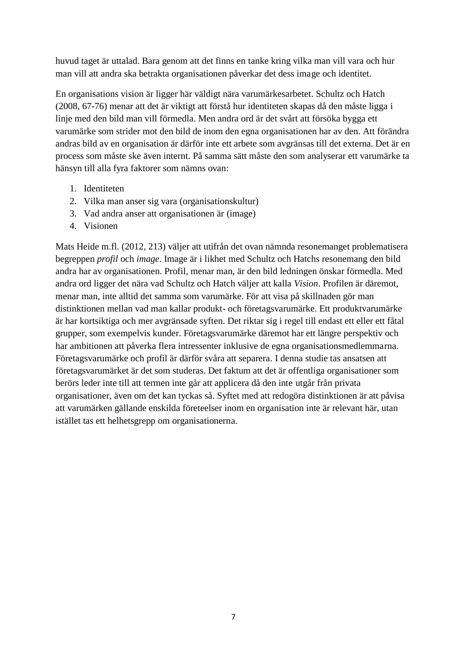huvud taget är uttalad. Bara genom att det finns en tanke kring vilka man vill vara och hur man vill att andra ska betrakta organisationen påverkar det dess image och identitet.

En organisations vision är ligger här väldigt nära varumärkesarbetet. Schultz och Hatch (2008, 67-76) menar att det är viktigt att förstå hur identiteten skapas då den måste ligga i linje med den bild man vill förmedla. Men andra ord är det svårt att försöka bygga ett varumärke som strider mot den bild de inom den egna organisationen har av den. Att förändra andras bild av en organisation är därför inte ett arbete som avgränsas till det externa. Det är en process som måste ske även internt. På samma sätt måste den som analyserar ett varumärke ta hänsyn till alla fyra faktorer som nämns ovan:

- 1. Identiteten
- 2. Vilka man anser sig vara (organisationskultur)
- 3. Vad andra anser att organisationen är (image)
- 4. Visionen

Mats Heide m.fl. (2012, 213) väljer att utifrån det ovan nämnda resonemanget problematisera begreppen *profil* och *image*. Image är i likhet med Schultz och Hatchs resonemang den bild andra har av organisationen. Profil, menar man, är den bild ledningen önskar förmedla. Med andra ord ligger det nära vad Schultz och Hatch väljer att kalla *Vision*. Profilen är däremot, menar man, inte alltid det samma som varumärke. För att visa på skillnaden gör man distinktionen mellan vad man kallar produkt- och företagsvarumärke. Ett produktvarumärke är har kortsiktiga och mer avgränsade syften. Det riktar sig i regel till endast ett eller ett fåtal grupper, som exempelvis kunder. Företagsvarumärke däremot har ett längre perspektiv och har ambitionen att påverka flera intressenter inklusive de egna organisationsmedlemmarna. Företagsvarumärke och profil är därför svåra att separera. I denna studie tas ansatsen att företagsvarumärket är det som studeras. Det faktum att det är offentliga organisationer som berörs leder inte till att termen inte går att applicera då den inte utgår från privata organisationer, även om det kan tyckas så. Syftet med att redogöra distinktionen är att påvisa att varumärken gällande enskilda företeelser inom en organisation inte är relevant här, utan istället tas ett helhetsgrepp om organisationerna.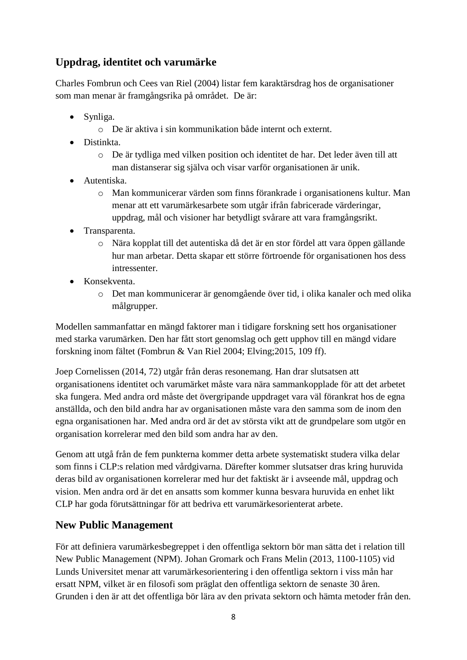## **Uppdrag, identitet och varumärke**

Charles Fombrun och Cees van Riel (2004) listar fem karaktärsdrag hos de organisationer som man menar är framgångsrika på området. De är:

- Synliga.
	- o De är aktiva i sin kommunikation både internt och externt.
- Distinkta.
	- o De är tydliga med vilken position och identitet de har. Det leder även till att man distanserar sig själva och visar varför organisationen är unik.
- Autentiska.
	- o Man kommunicerar värden som finns förankrade i organisationens kultur. Man menar att ett varumärkesarbete som utgår ifrån fabricerade värderingar, uppdrag, mål och visioner har betydligt svårare att vara framgångsrikt.
- Transparenta.
	- o Nära kopplat till det autentiska då det är en stor fördel att vara öppen gällande hur man arbetar. Detta skapar ett större förtroende för organisationen hos dess intressenter.
- Konsekventa.
	- o Det man kommunicerar är genomgående över tid, i olika kanaler och med olika målgrupper.

Modellen sammanfattar en mängd faktorer man i tidigare forskning sett hos organisationer med starka varumärken. Den har fått stort genomslag och gett upphov till en mängd vidare forskning inom fältet (Fombrun & Van Riel 2004; Elving;2015, 109 ff).

Joep Cornelissen (2014, 72) utgår från deras resonemang. Han drar slutsatsen att organisationens identitet och varumärket måste vara nära sammankopplade för att det arbetet ska fungera. Med andra ord måste det övergripande uppdraget vara väl förankrat hos de egna anställda, och den bild andra har av organisationen måste vara den samma som de inom den egna organisationen har. Med andra ord är det av största vikt att de grundpelare som utgör en organisation korrelerar med den bild som andra har av den.

Genom att utgå från de fem punkterna kommer detta arbete systematiskt studera vilka delar som finns i CLP:s relation med vårdgivarna. Därefter kommer slutsatser dras kring huruvida deras bild av organisationen korrelerar med hur det faktiskt är i avseende mål, uppdrag och vision. Men andra ord är det en ansatts som kommer kunna besvara huruvida en enhet likt CLP har goda förutsättningar för att bedriva ett varumärkesorienterat arbete.

## **New Public Management**

För att definiera varumärkesbegreppet i den offentliga sektorn bör man sätta det i relation till New Public Management (NPM). Johan Gromark och Frans Melin (2013, 1100-1105) vid Lunds Universitet menar att varumärkesorientering i den offentliga sektorn i viss mån har ersatt NPM, vilket är en filosofi som präglat den offentliga sektorn de senaste 30 åren. Grunden i den är att det offentliga bör lära av den privata sektorn och hämta metoder från den.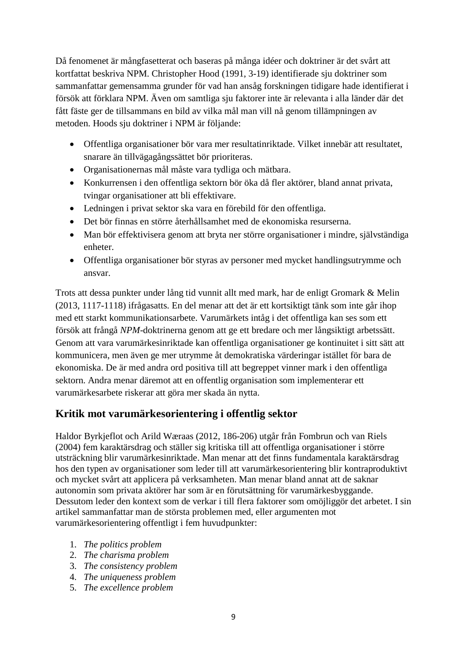Då fenomenet är mångfasetterat och baseras på många idéer och doktriner är det svårt att kortfattat beskriva NPM. Christopher Hood (1991, 3-19) identifierade sju doktriner som sammanfattar gemensamma grunder för vad han ansåg forskningen tidigare hade identifierat i försök att förklara NPM. Även om samtliga sju faktorer inte är relevanta i alla länder där det fått fäste ger de tillsammans en bild av vilka mål man vill nå genom tillämpningen av metoden. Hoods sju doktriner i NPM är följande:

- Offentliga organisationer bör vara mer resultatinriktade. Vilket innebär att resultatet, snarare än tillvägagångssättet bör prioriteras.
- Organisationernas mål måste vara tydliga och mätbara.
- Konkurrensen i den offentliga sektorn bör öka då fler aktörer, bland annat privata, tvingar organisationer att bli effektivare.
- Ledningen i privat sektor ska vara en förebild för den offentliga.
- Det bör finnas en större återhållsamhet med de ekonomiska resurserna.
- Man bör effektivisera genom att bryta ner större organisationer i mindre, självständiga enheter.
- Offentliga organisationer bör styras av personer med mycket handlingsutrymme och ansvar.

Trots att dessa punkter under lång tid vunnit allt med mark, har de enligt Gromark & Melin (2013, 1117-1118) ifrågasatts. En del menar att det är ett kortsiktigt tänk som inte går ihop med ett starkt kommunikationsarbete. Varumärkets intåg i det offentliga kan ses som ett försök att frångå *NPM*-doktrinerna genom att ge ett bredare och mer långsiktigt arbetssätt. Genom att vara varumärkesinriktade kan offentliga organisationer ge kontinuitet i sitt sätt att kommunicera, men även ge mer utrymme åt demokratiska värderingar istället för bara de ekonomiska. De är med andra ord positiva till att begreppet vinner mark i den offentliga sektorn. Andra menar däremot att en offentlig organisation som implementerar ett varumärkesarbete riskerar att göra mer skada än nytta.

## **Kritik mot varumärkesorientering i offentlig sektor**

Haldor Byrkjeflot och Arild Wæraas (2012, 186-206) utgår från Fombrun och van Riels (2004) fem karaktärsdrag och ställer sig kritiska till att offentliga organisationer i större utsträckning blir varumärkesinriktade. Man menar att det finns fundamentala karaktärsdrag hos den typen av organisationer som leder till att varumärkesorientering blir kontraproduktivt och mycket svårt att applicera på verksamheten. Man menar bland annat att de saknar autonomin som privata aktörer har som är en förutsättning för varumärkesbyggande. Dessutom leder den kontext som de verkar i till flera faktorer som omöjliggör det arbetet. I sin artikel sammanfattar man de största problemen med, eller argumenten mot varumärkesorientering offentligt i fem huvudpunkter:

- 1. *The politics problem*
- 2. *The charisma problem*
- 3. *The consistency problem*
- 4. *The uniqueness problem*
- 5. *The excellence problem*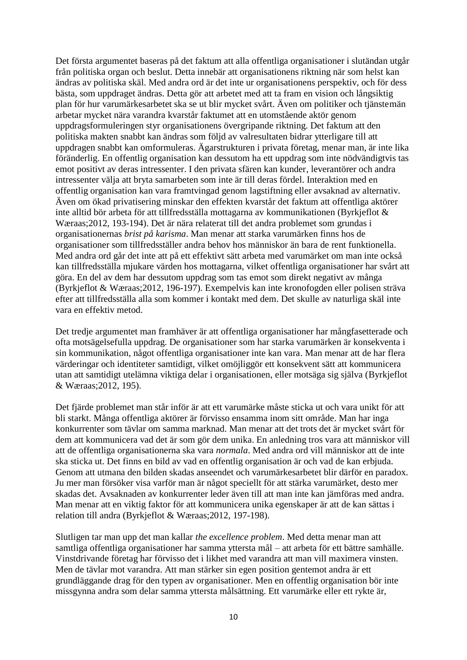Det första argumentet baseras på det faktum att alla offentliga organisationer i slutändan utgår från politiska organ och beslut. Detta innebär att organisationens riktning när som helst kan ändras av politiska skäl. Med andra ord är det inte ur organisationens perspektiv, och för dess bästa, som uppdraget ändras. Detta gör att arbetet med att ta fram en vision och långsiktig plan för hur varumärkesarbetet ska se ut blir mycket svårt. Även om politiker och tjänstemän arbetar mycket nära varandra kvarstår faktumet att en utomstående aktör genom uppdragsformuleringen styr organisationens övergripande riktning. Det faktum att den politiska makten snabbt kan ändras som följd av valresultaten bidrar ytterligare till att uppdragen snabbt kan omformuleras. Ägarstrukturen i privata företag, menar man, är inte lika föränderlig. En offentlig organisation kan dessutom ha ett uppdrag som inte nödvändigtvis tas emot positivt av deras intressenter. I den privata sfären kan kunder, leverantörer och andra intressenter välja att bryta samarbeten som inte är till deras fördel. Interaktion med en offentlig organisation kan vara framtvingad genom lagstiftning eller avsaknad av alternativ. Även om ökad privatisering minskar den effekten kvarstår det faktum att offentliga aktörer inte alltid bör arbeta för att tillfredsställa mottagarna av kommunikationen (Byrkjeflot & Wæraas;2012, 193-194). Det är nära relaterat till det andra problemet som grundas i organisationernas *brist på karisma*. Man menar att starka varumärken finns hos de organisationer som tillfredsställer andra behov hos människor än bara de rent funktionella. Med andra ord går det inte att på ett effektivt sätt arbeta med varumärket om man inte också kan tillfredsställa mjukare värden hos mottagarna, vilket offentliga organisationer har svårt att göra. En del av dem har dessutom uppdrag som tas emot som direkt negativt av många (Byrkjeflot & Wæraas;2012, 196-197). Exempelvis kan inte kronofogden eller polisen sträva efter att tillfredsställa alla som kommer i kontakt med dem. Det skulle av naturliga skäl inte vara en effektiv metod.

Det tredje argumentet man framhäver är att offentliga organisationer har mångfasetterade och ofta motsägelsefulla uppdrag. De organisationer som har starka varumärken är konsekventa i sin kommunikation, något offentliga organisationer inte kan vara. Man menar att de har flera värderingar och identiteter samtidigt, vilket omöjliggör ett konsekvent sätt att kommunicera utan att samtidigt utelämna viktiga delar i organisationen, eller motsäga sig själva (Byrkjeflot & Wæraas;2012, 195).

Det fjärde problemet man står inför är att ett varumärke måste sticka ut och vara unikt för att bli starkt. Många offentliga aktörer är förvisso ensamma inom sitt område. Man har inga konkurrenter som tävlar om samma marknad. Man menar att det trots det är mycket svårt för dem att kommunicera vad det är som gör dem unika. En anledning tros vara att människor vill att de offentliga organisationerna ska vara *normala*. Med andra ord vill människor att de inte ska sticka ut. Det finns en bild av vad en offentlig organisation är och vad de kan erbjuda. Genom att utmana den bilden skadas anseendet och varumärkesarbetet blir därför en paradox. Ju mer man försöker visa varför man är något speciellt för att stärka varumärket, desto mer skadas det. Avsaknaden av konkurrenter leder även till att man inte kan jämföras med andra. Man menar att en viktig faktor för att kommunicera unika egenskaper är att de kan sättas i relation till andra (Byrkjeflot & Wæraas;2012, 197-198).

Slutligen tar man upp det man kallar *the excellence problem*. Med detta menar man att samtliga offentliga organisationer har samma yttersta mål – att arbeta för ett bättre samhälle. Vinstdrivande företag har förvisso det i likhet med varandra att man vill maximera vinsten. Men de tävlar mot varandra. Att man stärker sin egen position gentemot andra är ett grundläggande drag för den typen av organisationer. Men en offentlig organisation bör inte missgynna andra som delar samma yttersta målsättning. Ett varumärke eller ett rykte är,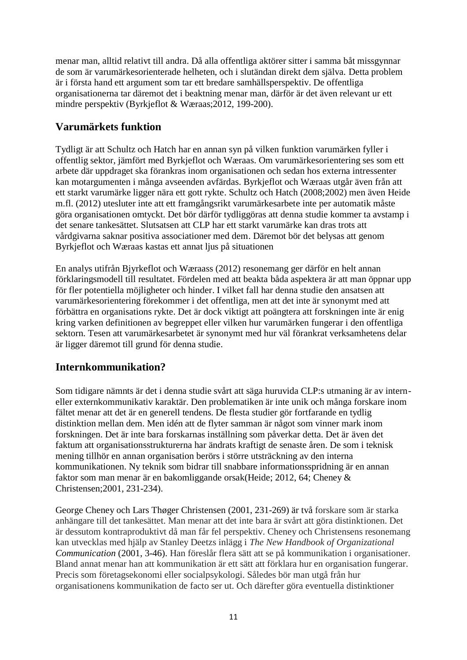menar man, alltid relativt till andra. Då alla offentliga aktörer sitter i samma båt missgynnar de som är varumärkesorienterade helheten, och i slutändan direkt dem själva. Detta problem är i första hand ett argument som tar ett bredare samhällsperspektiv. De offentliga organisationerna tar däremot det i beaktning menar man, därför är det även relevant ur ett mindre perspektiv (Byrkjeflot & Wæraas;2012, 199-200).

#### **Varumärkets funktion**

Tydligt är att Schultz och Hatch har en annan syn på vilken funktion varumärken fyller i offentlig sektor, jämfört med Byrkjeflot och Wæraas. Om varumärkesorientering ses som ett arbete där uppdraget ska förankras inom organisationen och sedan hos externa intressenter kan motargumenten i många avseenden avfärdas. Byrkjeflot och Wæraas utgår även från att ett starkt varumärke ligger nära ett gott rykte. Schultz och Hatch (2008;2002) men även Heide m.fl. (2012) utesluter inte att ett framgångsrikt varumärkesarbete inte per automatik måste göra organisationen omtyckt. Det bör därför tydliggöras att denna studie kommer ta avstamp i det senare tankesättet. Slutsatsen att CLP har ett starkt varumärke kan dras trots att vårdgivarna saknar positiva associationer med dem. Däremot bör det belysas att genom Byrkjeflot och Wæraas kastas ett annat ljus på situationen

En analys utifrån Bjyrkeflot och Wæraass (2012) resonemang ger därför en helt annan förklaringsmodell till resultatet. Fördelen med att beakta båda aspektera är att man öppnar upp för fler potentiella möjligheter och hinder. I vilket fall har denna studie den ansatsen att varumärkesorientering förekommer i det offentliga, men att det inte är synonymt med att förbättra en organisations rykte. Det är dock viktigt att poängtera att forskningen inte är enig kring varken definitionen av begreppet eller vilken hur varumärken fungerar i den offentliga sektorn. Tesen att varumärkesarbetet är synonymt med hur väl förankrat verksamhetens delar är ligger däremot till grund för denna studie.

## **Internkommunikation?**

Som tidigare nämnts är det i denna studie svårt att säga huruvida CLP:s utmaning är av interneller externkommunikativ karaktär. Den problematiken är inte unik och många forskare inom fältet menar att det är en generell tendens. De flesta studier gör fortfarande en tydlig distinktion mellan dem. Men idén att de flyter samman är något som vinner mark inom forskningen. Det är inte bara forskarnas inställning som påverkar detta. Det är även det faktum att organisationsstrukturerna har ändrats kraftigt de senaste åren. De som i teknisk mening tillhör en annan organisation berörs i större utsträckning av den interna kommunikationen. Ny teknik som bidrar till snabbare informationsspridning är en annan faktor som man menar är en bakomliggande orsak(Heide; 2012, 64; Cheney & Christensen;2001, 231-234).

George Cheney och Lars Thøger Christensen (2001, 231-269) är två forskare som är starka anhängare till det tankesättet. Man menar att det inte bara är svårt att göra distinktionen. Det är dessutom kontraproduktivt då man får fel perspektiv. Cheney och Christensens resonemang kan utvecklas med hjälp av Stanley Deetzs inlägg i *The New Handbook of Organizational Communication* (2001, 3-46). Han föreslår flera sätt att se på kommunikation i organisationer. Bland annat menar han att kommunikation är ett sätt att förklara hur en organisation fungerar. Precis som företagsekonomi eller socialpsykologi. Således bör man utgå från hur organisationens kommunikation de facto ser ut. Och därefter göra eventuella distinktioner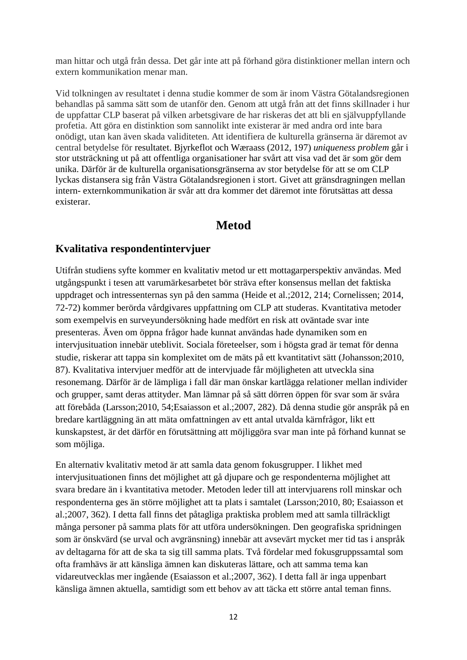man hittar och utgå från dessa. Det går inte att på förhand göra distinktioner mellan intern och extern kommunikation menar man.

Vid tolkningen av resultatet i denna studie kommer de som är inom Västra Götalandsregionen behandlas på samma sätt som de utanför den. Genom att utgå från att det finns skillnader i hur de uppfattar CLP baserat på vilken arbetsgivare de har riskeras det att bli en självuppfyllande profetia. Att göra en distinktion som sannolikt inte existerar är med andra ord inte bara onödigt, utan kan även skada validiteten. Att identifiera de kulturella gränserna är däremot av central betydelse för resultatet. Bjyrkeflot och Wæraass (2012, 197) *uniqueness problem* går i stor utsträckning ut på att offentliga organisationer har svårt att visa vad det är som gör dem unika. Därför är de kulturella organisationsgränserna av stor betydelse för att se om CLP lyckas distansera sig från Västra Götalandsregionen i stort. Givet att gränsdragningen mellan intern- externkommunikation är svår att dra kommer det däremot inte förutsättas att dessa existerar.

## **Metod**

#### **Kvalitativa respondentintervjuer**

Utifrån studiens syfte kommer en kvalitativ metod ur ett mottagarperspektiv användas. Med utgångspunkt i tesen att varumärkesarbetet bör sträva efter konsensus mellan det faktiska uppdraget och intressenternas syn på den samma (Heide et al.;2012, 214; Cornelissen; 2014, 72-72) kommer berörda vårdgivares uppfattning om CLP att studeras. Kvantitativa metoder som exempelvis en surveyundersökning hade medfört en risk att oväntade svar inte presenteras. Även om öppna frågor hade kunnat användas hade dynamiken som en intervjusituation innebär uteblivit. Sociala företeelser, som i högsta grad är temat för denna studie, riskerar att tappa sin komplexitet om de mäts på ett kvantitativt sätt (Johansson;2010, 87). Kvalitativa intervjuer medför att de intervjuade får möjligheten att utveckla sina resonemang. Därför är de lämpliga i fall där man önskar kartlägga relationer mellan individer och grupper, samt deras attityder. Man lämnar på så sätt dörren öppen för svar som är svåra att förebåda (Larsson;2010, 54;Esaiasson et al.;2007, 282). Då denna studie gör anspråk på en bredare kartläggning än att mäta omfattningen av ett antal utvalda kärnfrågor, likt ett kunskapstest, är det därför en förutsättning att möjliggöra svar man inte på förhand kunnat se som möjliga.

En alternativ kvalitativ metod är att samla data genom fokusgrupper. I likhet med intervjusituationen finns det möjlighet att gå djupare och ge respondenterna möjlighet att svara bredare än i kvantitativa metoder. Metoden leder till att intervjuarens roll minskar och respondenterna ges än större möjlighet att ta plats i samtalet (Larsson;2010, 80; Esaiasson et al.;2007, 362). I detta fall finns det påtagliga praktiska problem med att samla tillräckligt många personer på samma plats för att utföra undersökningen. Den geografiska spridningen som är önskvärd (se urval och avgränsning) innebär att avsevärt mycket mer tid tas i anspråk av deltagarna för att de ska ta sig till samma plats. Två fördelar med fokusgruppssamtal som ofta framhävs är att känsliga ämnen kan diskuteras lättare, och att samma tema kan vidareutvecklas mer ingående (Esaiasson et al.;2007, 362). I detta fall är inga uppenbart känsliga ämnen aktuella, samtidigt som ett behov av att täcka ett större antal teman finns.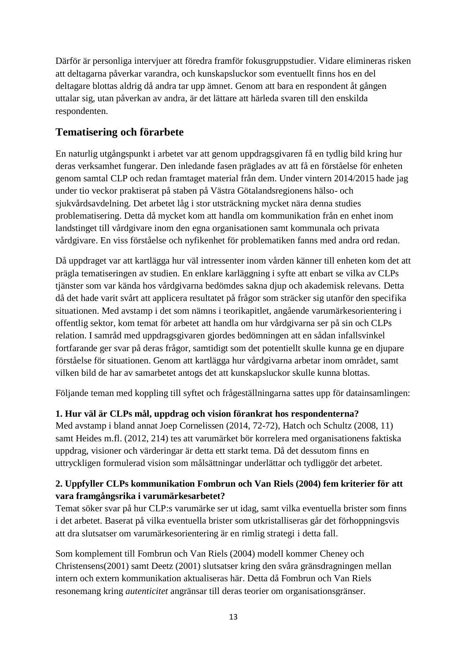Därför är personliga intervjuer att föredra framför fokusgruppstudier. Vidare elimineras risken att deltagarna påverkar varandra, och kunskapsluckor som eventuellt finns hos en del deltagare blottas aldrig då andra tar upp ämnet. Genom att bara en respondent åt gången uttalar sig, utan påverkan av andra, är det lättare att härleda svaren till den enskilda respondenten.

## **Tematisering och förarbete**

En naturlig utgångspunkt i arbetet var att genom uppdragsgivaren få en tydlig bild kring hur deras verksamhet fungerar. Den inledande fasen präglades av att få en förståelse för enheten genom samtal CLP och redan framtaget material från dem. Under vintern 2014/2015 hade jag under tio veckor praktiserat på staben på Västra Götalandsregionens hälso- och sjukvårdsavdelning. Det arbetet låg i stor utsträckning mycket nära denna studies problematisering. Detta då mycket kom att handla om kommunikation från en enhet inom landstinget till vårdgivare inom den egna organisationen samt kommunala och privata vårdgivare. En viss förståelse och nyfikenhet för problematiken fanns med andra ord redan.

Då uppdraget var att kartlägga hur väl intressenter inom vården känner till enheten kom det att prägla tematiseringen av studien. En enklare karläggning i syfte att enbart se vilka av CLPs tjänster som var kända hos vårdgivarna bedömdes sakna djup och akademisk relevans. Detta då det hade varit svårt att applicera resultatet på frågor som sträcker sig utanför den specifika situationen. Med avstamp i det som nämns i teorikapitlet, angående varumärkesorientering i offentlig sektor, kom temat för arbetet att handla om hur vårdgivarna ser på sin och CLPs relation. I samråd med uppdragsgivaren gjordes bedömningen att en sådan infallsvinkel fortfarande ger svar på deras frågor, samtidigt som det potentiellt skulle kunna ge en djupare förståelse för situationen. Genom att kartlägga hur vårdgivarna arbetar inom området, samt vilken bild de har av samarbetet antogs det att kunskapsluckor skulle kunna blottas.

Följande teman med koppling till syftet och frågeställningarna sattes upp för datainsamlingen:

## **1. Hur väl är CLPs mål, uppdrag och vision förankrat hos respondenterna?**

Med avstamp i bland annat Joep Cornelissen (2014, 72-72), Hatch och Schultz (2008, 11) samt Heides m.fl. (2012, 214) tes att varumärket bör korrelera med organisationens faktiska uppdrag, visioner och värderingar är detta ett starkt tema. Då det dessutom finns en uttryckligen formulerad vision som målsättningar underlättar och tydliggör det arbetet.

#### **2. Uppfyller CLPs kommunikation Fombrun och Van Riels (2004) fem kriterier för att vara framgångsrika i varumärkesarbetet?**

Temat söker svar på hur CLP:s varumärke ser ut idag, samt vilka eventuella brister som finns i det arbetet. Baserat på vilka eventuella brister som utkristalliseras går det förhoppningsvis att dra slutsatser om varumärkesorientering är en rimlig strategi i detta fall.

Som komplement till Fombrun och Van Riels (2004) modell kommer Cheney och Christensens(2001) samt Deetz (2001) slutsatser kring den svåra gränsdragningen mellan intern och extern kommunikation aktualiseras här. Detta då Fombrun och Van Riels resonemang kring *autenticitet* angränsar till deras teorier om organisationsgränser.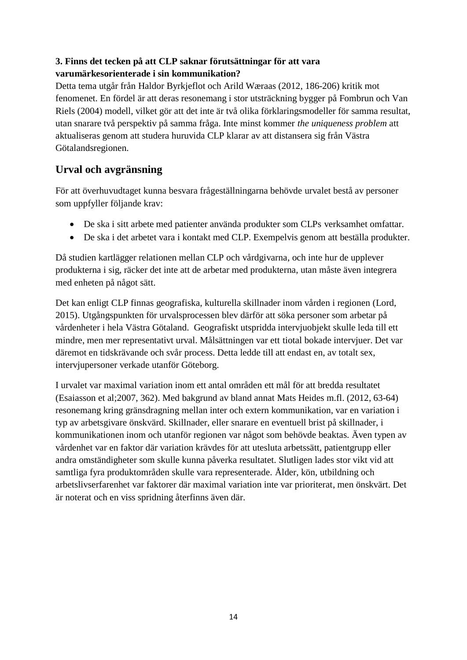## **3. Finns det tecken på att CLP saknar förutsättningar för att vara varumärkesorienterade i sin kommunikation?**

Detta tema utgår från Haldor Byrkjeflot och Arild Wæraas (2012, 186-206) kritik mot fenomenet. En fördel är att deras resonemang i stor utsträckning bygger på Fombrun och Van Riels (2004) modell, vilket gör att det inte är två olika förklaringsmodeller för samma resultat, utan snarare två perspektiv på samma fråga. Inte minst kommer *the uniqueness problem* att aktualiseras genom att studera huruvida CLP klarar av att distansera sig från Västra Götalandsregionen.

## **Urval och avgränsning**

För att överhuvudtaget kunna besvara frågeställningarna behövde urvalet bestå av personer som uppfyller följande krav:

- De ska i sitt arbete med patienter använda produkter som CLPs verksamhet omfattar.
- De ska i det arbetet vara i kontakt med CLP. Exempelvis genom att beställa produkter.

Då studien kartlägger relationen mellan CLP och vårdgivarna, och inte hur de upplever produkterna i sig, räcker det inte att de arbetar med produkterna, utan måste även integrera med enheten på något sätt.

Det kan enligt CLP finnas geografiska, kulturella skillnader inom vården i regionen (Lord, 2015). Utgångspunkten för urvalsprocessen blev därför att söka personer som arbetar på vårdenheter i hela Västra Götaland. Geografiskt utspridda intervjuobjekt skulle leda till ett mindre, men mer representativt urval. Målsättningen var ett tiotal bokade intervjuer. Det var däremot en tidskrävande och svår process. Detta ledde till att endast en, av totalt sex, intervjupersoner verkade utanför Göteborg.

I urvalet var maximal variation inom ett antal områden ett mål för att bredda resultatet (Esaiasson et al;2007, 362). Med bakgrund av bland annat Mats Heides m.fl. (2012, 63-64) resonemang kring gränsdragning mellan inter och extern kommunikation, var en variation i typ av arbetsgivare önskvärd. Skillnader, eller snarare en eventuell brist på skillnader, i kommunikationen inom och utanför regionen var något som behövde beaktas. Även typen av vårdenhet var en faktor där variation krävdes för att utesluta arbetssätt, patientgrupp eller andra omständigheter som skulle kunna påverka resultatet. Slutligen lades stor vikt vid att samtliga fyra produktområden skulle vara representerade. Ålder, kön, utbildning och arbetslivserfarenhet var faktorer där maximal variation inte var prioriterat, men önskvärt. Det är noterat och en viss spridning återfinns även där.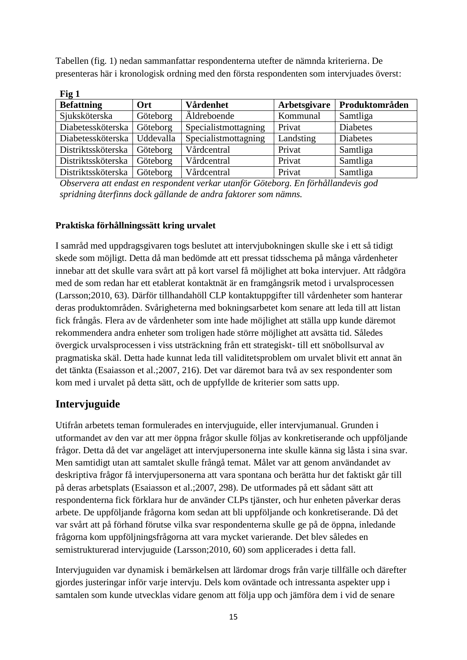Tabellen (fig. 1) nedan sammanfattar respondenterna utefter de nämnda kriterierna. De presenteras här i kronologisk ordning med den första respondenten som intervjuades överst:

| Fig 1              |           |                      |              |                 |  |  |
|--------------------|-----------|----------------------|--------------|-----------------|--|--|
| <b>Befattning</b>  | Ort       | Vårdenhet            | Arbetsgivare | Produktområden  |  |  |
| Sjuksköterska      | Göteborg  | Aldreboende          | Kommunal     | Samtliga        |  |  |
| Diabetessköterska  | Göteborg  | Specialistmottagning | Privat       | <b>Diabetes</b> |  |  |
| Diabetessköterska  | Uddevalla | Specialistmottagning | Landsting    | <b>Diabetes</b> |  |  |
| Distriktssköterska | Göteborg  | Vårdcentral          | Privat       | Samtliga        |  |  |
| Distriktssköterska | Göteborg  | Vårdcentral          | Privat       | Samtliga        |  |  |
| Distriktssköterska | Göteborg  | Vårdcentral          | Privat       | Samtliga        |  |  |

*Observera att endast en respondent verkar utanför Göteborg. En förhållandevis god spridning återfinns dock gällande de andra faktorer som nämns.* 

#### **Praktiska förhållningssätt kring urvalet**

I samråd med uppdragsgivaren togs beslutet att intervjubokningen skulle ske i ett så tidigt skede som möjligt. Detta då man bedömde att ett pressat tidsschema på många vårdenheter innebar att det skulle vara svårt att på kort varsel få möjlighet att boka intervjuer. Att rådgöra med de som redan har ett etablerat kontaktnät är en framgångsrik metod i urvalsprocessen (Larsson;2010, 63). Därför tillhandahöll CLP kontaktuppgifter till vårdenheter som hanterar deras produktområden. Svårigheterna med bokningsarbetet kom senare att leda till att listan fick frångås. Flera av de vårdenheter som inte hade möjlighet att ställa upp kunde däremot rekommendera andra enheter som troligen hade större möjlighet att avsätta tid. Således övergick urvalsprocessen i viss utsträckning från ett strategiskt- till ett snöbollsurval av pragmatiska skäl. Detta hade kunnat leda till validitetsproblem om urvalet blivit ett annat än det tänkta (Esaiasson et al.;2007, 216). Det var däremot bara två av sex respondenter som kom med i urvalet på detta sätt, och de uppfyllde de kriterier som satts upp.

## **Intervjuguide**

Utifrån arbetets teman formulerades en intervjuguide, eller intervjumanual. Grunden i utformandet av den var att mer öppna frågor skulle följas av konkretiserande och uppföljande frågor. Detta då det var angeläget att intervjupersonerna inte skulle känna sig låsta i sina svar. Men samtidigt utan att samtalet skulle frångå temat. Målet var att genom användandet av deskriptiva frågor få intervjupersonerna att vara spontana och berätta hur det faktiskt går till på deras arbetsplats (Esaiasson et al.;2007, 298). De utformades på ett sådant sätt att respondenterna fick förklara hur de använder CLPs tjänster, och hur enheten påverkar deras arbete. De uppföljande frågorna kom sedan att bli uppföljande och konkretiserande. Då det var svårt att på förhand förutse vilka svar respondenterna skulle ge på de öppna, inledande frågorna kom uppföljningsfrågorna att vara mycket varierande. Det blev således en semistrukturerad intervjuguide (Larsson;2010, 60) som applicerades i detta fall.

Intervjuguiden var dynamisk i bemärkelsen att lärdomar drogs från varje tillfälle och därefter gjordes justeringar inför varje intervju. Dels kom oväntade och intressanta aspekter upp i samtalen som kunde utvecklas vidare genom att följa upp och jämföra dem i vid de senare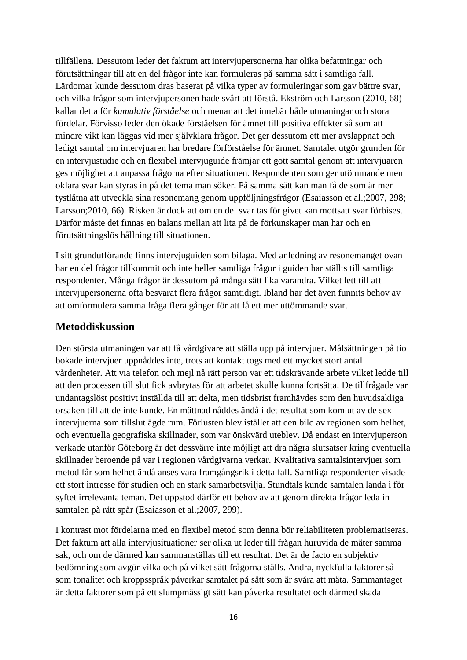tillfällena. Dessutom leder det faktum att intervjupersonerna har olika befattningar och förutsättningar till att en del frågor inte kan formuleras på samma sätt i samtliga fall. Lärdomar kunde dessutom dras baserat på vilka typer av formuleringar som gav bättre svar, och vilka frågor som intervjupersonen hade svårt att förstå. Ekström och Larsson (2010, 68) kallar detta för *kumulativ förståelse* och menar att det innebär både utmaningar och stora fördelar. Förvisso leder den ökade förståelsen för ämnet till positiva effekter så som att mindre vikt kan läggas vid mer självklara frågor. Det ger dessutom ett mer avslappnat och ledigt samtal om intervjuaren har bredare förförståelse för ämnet. Samtalet utgör grunden för en intervjustudie och en flexibel intervjuguide främjar ett gott samtal genom att intervjuaren ges möjlighet att anpassa frågorna efter situationen. Respondenten som ger utömmande men oklara svar kan styras in på det tema man söker. På samma sätt kan man få de som är mer tystlåtna att utveckla sina resonemang genom uppföljningsfrågor (Esaiasson et al.;2007, 298; Larsson;2010, 66). Risken är dock att om en del svar tas för givet kan mottsatt svar förbises. Därför måste det finnas en balans mellan att lita på de förkunskaper man har och en förutsättningslös hållning till situationen.

I sitt grundutförande finns intervjuguiden som bilaga. Med anledning av resonemanget ovan har en del frågor tillkommit och inte heller samtliga frågor i guiden har ställts till samtliga respondenter. Många frågor är dessutom på många sätt lika varandra. Vilket lett till att intervjupersonerna ofta besvarat flera frågor samtidigt. Ibland har det även funnits behov av att omformulera samma fråga flera gånger för att få ett mer uttömmande svar.

#### **Metoddiskussion**

Den största utmaningen var att få vårdgivare att ställa upp på intervjuer. Målsättningen på tio bokade intervjuer uppnåddes inte, trots att kontakt togs med ett mycket stort antal vårdenheter. Att via telefon och mejl nå rätt person var ett tidskrävande arbete vilket ledde till att den processen till slut fick avbrytas för att arbetet skulle kunna fortsätta. De tillfrågade var undantagslöst positivt inställda till att delta, men tidsbrist framhävdes som den huvudsakliga orsaken till att de inte kunde. En mättnad nåddes ändå i det resultat som kom ut av de sex intervjuerna som tillslut ägde rum. Förlusten blev istället att den bild av regionen som helhet, och eventuella geografiska skillnader, som var önskvärd uteblev. Då endast en intervjuperson verkade utanför Göteborg är det dessvärre inte möjligt att dra några slutsatser kring eventuella skillnader beroende på var i regionen vårdgivarna verkar. Kvalitativa samtalsintervjuer som metod får som helhet ändå anses vara framgångsrik i detta fall. Samtliga respondenter visade ett stort intresse för studien och en stark samarbetsvilja. Stundtals kunde samtalen landa i för syftet irrelevanta teman. Det uppstod därför ett behov av att genom direkta frågor leda in samtalen på rätt spår (Esaiasson et al.;2007, 299).

I kontrast mot fördelarna med en flexibel metod som denna bör reliabiliteten problematiseras. Det faktum att alla intervjusituationer ser olika ut leder till frågan huruvida de mäter samma sak, och om de därmed kan sammanställas till ett resultat. Det är de facto en subjektiv bedömning som avgör vilka och på vilket sätt frågorna ställs. Andra, nyckfulla faktorer så som tonalitet och kroppsspråk påverkar samtalet på sätt som är svåra att mäta. Sammantaget är detta faktorer som på ett slumpmässigt sätt kan påverka resultatet och därmed skada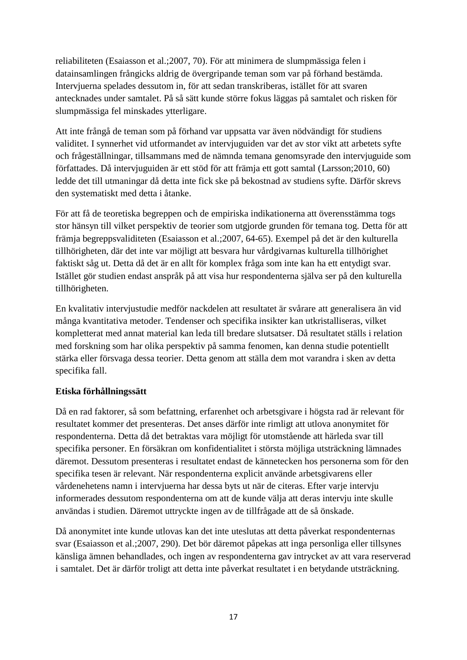reliabiliteten (Esaiasson et al.;2007, 70). För att minimera de slumpmässiga felen i datainsamlingen frångicks aldrig de övergripande teman som var på förhand bestämda. Intervjuerna spelades dessutom in, för att sedan transkriberas, istället för att svaren antecknades under samtalet. På så sätt kunde större fokus läggas på samtalet och risken för slumpmässiga fel minskades ytterligare.

Att inte frångå de teman som på förhand var uppsatta var även nödvändigt för studiens validitet. I synnerhet vid utformandet av intervjuguiden var det av stor vikt att arbetets syfte och frågeställningar, tillsammans med de nämnda temana genomsyrade den intervjuguide som författades. Då intervjuguiden är ett stöd för att främja ett gott samtal (Larsson;2010, 60) ledde det till utmaningar då detta inte fick ske på bekostnad av studiens syfte. Därför skrevs den systematiskt med detta i åtanke.

För att få de teoretiska begreppen och de empiriska indikationerna att överensstämma togs stor hänsyn till vilket perspektiv de teorier som utgjorde grunden för temana tog. Detta för att främja begreppsvaliditeten (Esaiasson et al.;2007, 64-65). Exempel på det är den kulturella tillhörigheten, där det inte var möjligt att besvara hur vårdgivarnas kulturella tillhörighet faktiskt såg ut. Detta då det är en allt för komplex fråga som inte kan ha ett entydigt svar. Istället gör studien endast anspråk på att visa hur respondenterna själva ser på den kulturella tillhörigheten.

En kvalitativ intervjustudie medför nackdelen att resultatet är svårare att generalisera än vid många kvantitativa metoder. Tendenser och specifika insikter kan utkristalliseras, vilket kompletterat med annat material kan leda till bredare slutsatser. Då resultatet ställs i relation med forskning som har olika perspektiv på samma fenomen, kan denna studie potentiellt stärka eller försvaga dessa teorier. Detta genom att ställa dem mot varandra i sken av detta specifika fall.

#### **Etiska förhållningssätt**

Då en rad faktorer, så som befattning, erfarenhet och arbetsgivare i högsta rad är relevant för resultatet kommer det presenteras. Det anses därför inte rimligt att utlova anonymitet för respondenterna. Detta då det betraktas vara möjligt för utomstående att härleda svar till specifika personer. En försäkran om konfidentialitet i största möjliga utsträckning lämnades däremot. Dessutom presenteras i resultatet endast de kännetecken hos personerna som för den specifika tesen är relevant. När respondenterna explicit använde arbetsgivarens eller vårdenehetens namn i intervjuerna har dessa byts ut när de citeras. Efter varje intervju informerades dessutom respondenterna om att de kunde välja att deras intervju inte skulle användas i studien. Däremot uttryckte ingen av de tillfrågade att de så önskade.

Då anonymitet inte kunde utlovas kan det inte uteslutas att detta påverkat respondenternas svar (Esaiasson et al.;2007, 290). Det bör däremot påpekas att inga personliga eller tillsynes känsliga ämnen behandlades, och ingen av respondenterna gav intrycket av att vara reserverad i samtalet. Det är därför troligt att detta inte påverkat resultatet i en betydande utsträckning.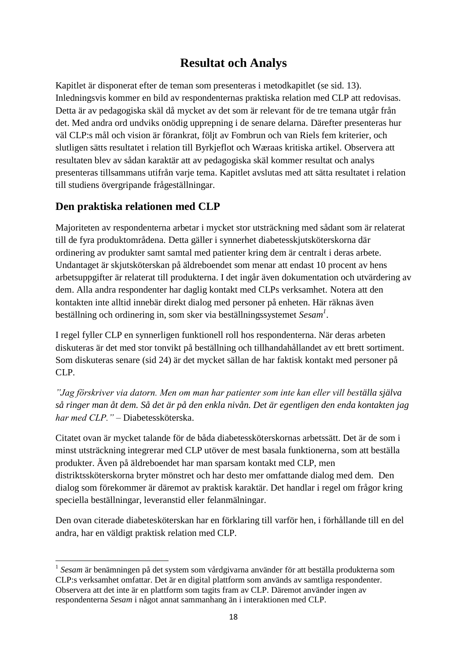## **Resultat och Analys**

Kapitlet är disponerat efter de teman som presenteras i metodkapitlet (se sid. 13). Inledningsvis kommer en bild av respondenternas praktiska relation med CLP att redovisas. Detta är av pedagogiska skäl då mycket av det som är relevant för de tre temana utgår från det. Med andra ord undviks onödig upprepning i de senare delarna. Därefter presenteras hur väl CLP:s mål och vision är förankrat, följt av Fombrun och van Riels fem kriterier, och slutligen sätts resultatet i relation till Byrkjeflot och Wæraas kritiska artikel. Observera att resultaten blev av sådan karaktär att av pedagogiska skäl kommer resultat och analys presenteras tillsammans utifrån varje tema. Kapitlet avslutas med att sätta resultatet i relation till studiens övergripande frågeställningar.

## **Den praktiska relationen med CLP**

 $\overline{a}$ 

Majoriteten av respondenterna arbetar i mycket stor utsträckning med sådant som är relaterat till de fyra produktområdena. Detta gäller i synnerhet diabetesskjutsköterskorna där ordinering av produkter samt samtal med patienter kring dem är centralt i deras arbete. Undantaget är skjutsköterskan på äldreboendet som menar att endast 10 procent av hens arbetsuppgifter är relaterat till produkterna. I det ingår även dokumentation och utvärdering av dem. Alla andra respondenter har daglig kontakt med CLPs verksamhet. Notera att den kontakten inte alltid innebär direkt dialog med personer på enheten. Här räknas även beställning och ordinering in, som sker via beställningssystemet *Sesam<sup>1</sup>* .

I regel fyller CLP en synnerligen funktionell roll hos respondenterna. När deras arbeten diskuteras är det med stor tonvikt på beställning och tillhandahållandet av ett brett sortiment. Som diskuteras senare (sid 24) är det mycket sällan de har faktisk kontakt med personer på CLP.

*"Jag förskriver via datorn. Men om man har patienter som inte kan eller vill beställa själva så ringer man åt dem. Så det är på den enkla nivån. Det är egentligen den enda kontakten jag har med CLP." –* Diabetessköterska.

Citatet ovan är mycket talande för de båda diabetessköterskornas arbetssätt. Det är de som i minst utsträckning integrerar med CLP utöver de mest basala funktionerna, som att beställa produkter. Även på äldreboendet har man sparsam kontakt med CLP, men distriktssköterskorna bryter mönstret och har desto mer omfattande dialog med dem. Den dialog som förekommer är däremot av praktisk karaktär. Det handlar i regel om frågor kring speciella beställningar, leveranstid eller felanmälningar.

Den ovan citerade diabetesköterskan har en förklaring till varför hen, i förhållande till en del andra, har en väldigt praktisk relation med CLP.

<sup>1</sup> *Sesam* är benämningen på det system som vårdgivarna använder för att beställa produkterna som CLP:s verksamhet omfattar. Det är en digital plattform som används av samtliga respondenter. Observera att det inte är en plattform som tagits fram av CLP. Däremot använder ingen av respondenterna *Sesam* i något annat sammanhang än i interaktionen med CLP.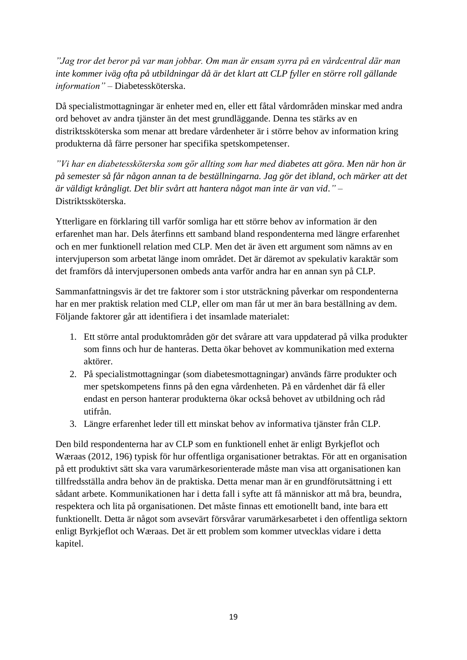*"Jag tror det beror på var man jobbar. Om man är ensam syrra på en vårdcentral där man inte kommer iväg ofta på utbildningar då är det klart att CLP fyller en större roll gällande information" –* Diabetessköterska.

Då specialistmottagningar är enheter med en, eller ett fåtal vårdområden minskar med andra ord behovet av andra tjänster än det mest grundläggande. Denna tes stärks av en distriktssköterska som menar att bredare vårdenheter är i större behov av information kring produkterna då färre personer har specifika spetskompetenser.

*"Vi har en diabetessköterska som gör allting som har med diabetes att göra. Men när hon är på semester så får någon annan ta de beställningarna. Jag gör det ibland, och märker att det är väldigt krångligt. Det blir svårt att hantera något man inte är van vid."* – Distriktssköterska.

Ytterligare en förklaring till varför somliga har ett större behov av information är den erfarenhet man har. Dels återfinns ett samband bland respondenterna med längre erfarenhet och en mer funktionell relation med CLP. Men det är även ett argument som nämns av en intervjuperson som arbetat länge inom området. Det är däremot av spekulativ karaktär som det framförs då intervjupersonen ombeds anta varför andra har en annan syn på CLP.

Sammanfattningsvis är det tre faktorer som i stor utsträckning påverkar om respondenterna har en mer praktisk relation med CLP, eller om man får ut mer än bara beställning av dem. Följande faktorer går att identifiera i det insamlade materialet:

- 1. Ett större antal produktområden gör det svårare att vara uppdaterad på vilka produkter som finns och hur de hanteras. Detta ökar behovet av kommunikation med externa aktörer.
- 2. På specialistmottagningar (som diabetesmottagningar) används färre produkter och mer spetskompetens finns på den egna vårdenheten. På en vårdenhet där få eller endast en person hanterar produkterna ökar också behovet av utbildning och råd utifrån.
- 3. Längre erfarenhet leder till ett minskat behov av informativa tjänster från CLP.

Den bild respondenterna har av CLP som en funktionell enhet är enligt Byrkjeflot och Wæraas (2012, 196) typisk för hur offentliga organisationer betraktas. För att en organisation på ett produktivt sätt ska vara varumärkesorienterade måste man visa att organisationen kan tillfredsställa andra behov än de praktiska. Detta menar man är en grundförutsättning i ett sådant arbete. Kommunikationen har i detta fall i syfte att få människor att må bra, beundra, respektera och lita på organisationen. Det måste finnas ett emotionellt band, inte bara ett funktionellt. Detta är något som avsevärt försvårar varumärkesarbetet i den offentliga sektorn enligt Byrkjeflot och Wæraas. Det är ett problem som kommer utvecklas vidare i detta kapitel.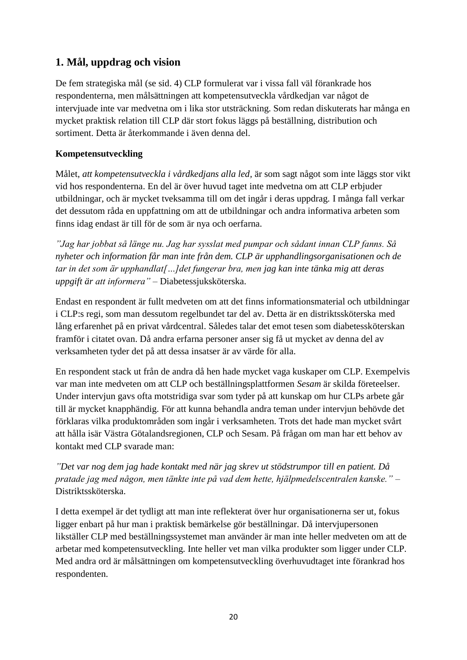## **1. Mål, uppdrag och vision**

De fem strategiska mål (se sid. 4) CLP formulerat var i vissa fall väl förankrade hos respondenterna, men målsättningen att kompetensutveckla vårdkedjan var något de intervjuade inte var medvetna om i lika stor utsträckning. Som redan diskuterats har många en mycket praktisk relation till CLP där stort fokus läggs på beställning, distribution och sortiment. Detta är återkommande i även denna del.

#### **Kompetensutveckling**

Målet, *att kompetensutveckla i vårdkedjans alla led,* är som sagt något som inte läggs stor vikt vid hos respondenterna. En del är över huvud taget inte medvetna om att CLP erbjuder utbildningar, och är mycket tveksamma till om det ingår i deras uppdrag. I många fall verkar det dessutom råda en uppfattning om att de utbildningar och andra informativa arbeten som finns idag endast är till för de som är nya och oerfarna.

*"Jag har jobbat så länge nu. Jag har sysslat med pumpar och sådant innan CLP fanns. Så nyheter och information får man inte från dem. CLP är upphandlingsorganisationen och de tar in det som är upphandlat[…]det fungerar bra, men jag kan inte tänka mig att deras uppgift är att informera"* – Diabetessjuksköterska.

Endast en respondent är fullt medveten om att det finns informationsmaterial och utbildningar i CLP:s regi, som man dessutom regelbundet tar del av. Detta är en distriktssköterska med lång erfarenhet på en privat vårdcentral. Således talar det emot tesen som diabetessköterskan framför i citatet ovan. Då andra erfarna personer anser sig få ut mycket av denna del av verksamheten tyder det på att dessa insatser är av värde för alla.

En respondent stack ut från de andra då hen hade mycket vaga kuskaper om CLP. Exempelvis var man inte medveten om att CLP och beställningsplattformen *Sesam* är skilda företeelser. Under intervjun gavs ofta motstridiga svar som tyder på att kunskap om hur CLPs arbete går till är mycket knapphändig. För att kunna behandla andra teman under intervjun behövde det förklaras vilka produktområden som ingår i verksamheten. Trots det hade man mycket svårt att hålla isär Västra Götalandsregionen, CLP och Sesam. På frågan om man har ett behov av kontakt med CLP svarade man:

*"Det var nog dem jag hade kontakt med när jag skrev ut stödstrumpor till en patient. Då pratade jag med någon, men tänkte inte på vad dem hette, hjälpmedelscentralen kanske."* – Distriktssköterska.

I detta exempel är det tydligt att man inte reflekterat över hur organisationerna ser ut, fokus ligger enbart på hur man i praktisk bemärkelse gör beställningar. Då intervjupersonen likställer CLP med beställningssystemet man använder är man inte heller medveten om att de arbetar med kompetensutveckling. Inte heller vet man vilka produkter som ligger under CLP. Med andra ord är målsättningen om kompetensutveckling överhuvudtaget inte förankrad hos respondenten.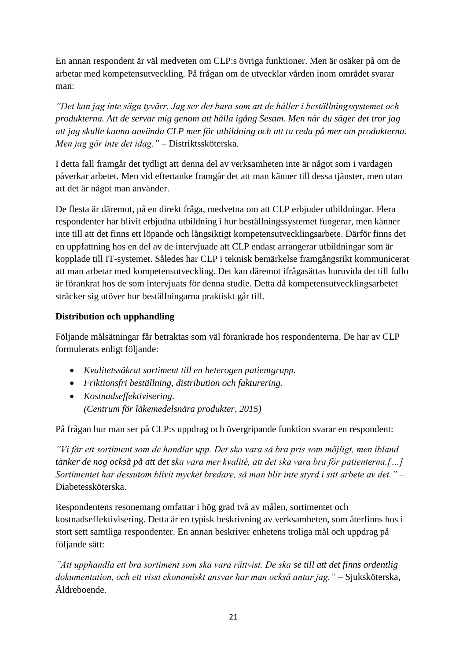En annan respondent är väl medveten om CLP:s övriga funktioner. Men är osäker på om de arbetar med kompetensutveckling. På frågan om de utvecklar vården inom området svarar man:

*"Det kan jag inte säga tyvärr. Jag ser det bara som att de håller i beställningssystemet och produkterna. Att de servar mig genom att hålla igång Sesam. Men när du säger det tror jag att jag skulle kunna använda CLP mer för utbildning och att ta reda på mer om produkterna. Men jag gör inte det idag."* – Distriktssköterska.

I detta fall framgår det tydligt att denna del av verksamheten inte är något som i vardagen påverkar arbetet. Men vid eftertanke framgår det att man känner till dessa tjänster, men utan att det är något man använder.

De flesta är däremot, på en direkt fråga, medvetna om att CLP erbjuder utbildningar. Flera respondenter har blivit erbjudna utbildning i hur beställningssystemet fungerar, men känner inte till att det finns ett löpande och långsiktigt kompetensutvecklingsarbete. Därför finns det en uppfattning hos en del av de intervjuade att CLP endast arrangerar utbildningar som är kopplade till IT-systemet. Således har CLP i teknisk bemärkelse framgångsrikt kommunicerat att man arbetar med kompetensutveckling. Det kan däremot ifrågasättas huruvida det till fullo är förankrat hos de som intervjuats för denna studie. Detta då kompetensutvecklingsarbetet sträcker sig utöver hur beställningarna praktiskt går till.

#### **Distribution och upphandling**

Följande målsätningar får betraktas som väl förankrade hos respondenterna. De har av CLP formulerats enligt följande:

- *Kvalitetssäkrat sortiment till en heterogen patientgrupp.*
- *Friktionsfri beställning, distribution och fakturering.*
- *Kostnadseffektivisering. (Centrum för läkemedelsnära produkter, 2015)*

På frågan hur man ser på CLP:s uppdrag och övergripande funktion svarar en respondent:

*"Vi får ett sortiment som de handlar upp. Det ska vara så bra pris som möjligt, men ibland tänker de nog också på att det ska vara mer kvalité, att det ska vara bra för patienterna.[…] Sortimentet har dessutom blivit mycket bredare, så man blir inte styrd i sitt arbete av det."* – Diabetessköterska.

Respondentens resonemang omfattar i hög grad två av målen, sortimentet och kostnadseffektivisering. Detta är en typisk beskrivning av verksamheten, som återfinns hos i stort sett samtliga respondenter. En annan beskriver enhetens troliga mål och uppdrag på följande sätt:

*"Att upphandla ett bra sortiment som ska vara rättvist. De ska se till att det finns ordentlig dokumentation, och ett visst ekonomiskt ansvar har man också antar jag."* – Sjuksköterska, Äldreboende.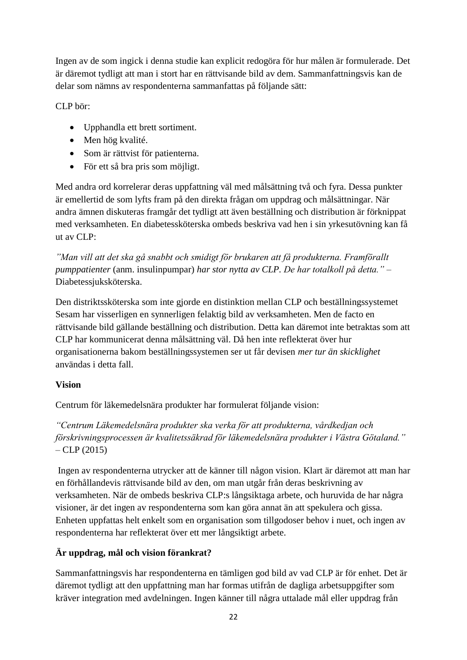Ingen av de som ingick i denna studie kan explicit redogöra för hur målen är formulerade. Det är däremot tydligt att man i stort har en rättvisande bild av dem. Sammanfattningsvis kan de delar som nämns av respondenterna sammanfattas på följande sätt:

CLP bör:

- Upphandla ett brett sortiment.
- Men hög kvalité.
- Som är rättvist för patienterna.
- För ett så bra pris som möjligt.

Med andra ord korrelerar deras uppfattning väl med målsättning två och fyra. Dessa punkter är emellertid de som lyfts fram på den direkta frågan om uppdrag och målsättningar. När andra ämnen diskuteras framgår det tydligt att även beställning och distribution är förknippat med verksamheten. En diabetessköterska ombeds beskriva vad hen i sin yrkesutövning kan få ut av CLP:

*"Man vill att det ska gå snabbt och smidigt för brukaren att få produkterna. Framförallt pumppatienter* (anm. insulinpumpar) *har stor nytta av CLP. De har totalkoll på detta."* – Diabetessjuksköterska.

Den distriktssköterska som inte gjorde en distinktion mellan CLP och beställningssystemet Sesam har visserligen en synnerligen felaktig bild av verksamheten. Men de facto en rättvisande bild gällande beställning och distribution. Detta kan däremot inte betraktas som att CLP har kommunicerat denna målsättning väl. Då hen inte reflekterat över hur organisationerna bakom beställningssystemen ser ut får devisen *mer tur än skicklighet* användas i detta fall.

#### **Vision**

Centrum för läkemedelsnära produkter har formulerat följande vision:

*"Centrum Läkemedelsnära produkter ska verka för att produkterna, vårdkedjan och förskrivningsprocessen är kvalitetssäkrad för läkemedelsnära produkter i Västra Götaland."*  $-$  CLP (2015)

Ingen av respondenterna utrycker att de känner till någon vision. Klart är däremot att man har en förhållandevis rättvisande bild av den, om man utgår från deras beskrivning av verksamheten. När de ombeds beskriva CLP:s långsiktaga arbete, och huruvida de har några visioner, är det ingen av respondenterna som kan göra annat än att spekulera och gissa. Enheten uppfattas helt enkelt som en organisation som tillgodoser behov i nuet, och ingen av respondenterna har reflekterat över ett mer långsiktigt arbete.

## **Är uppdrag, mål och vision förankrat?**

Sammanfattningsvis har respondenterna en tämligen god bild av vad CLP är för enhet. Det är däremot tydligt att den uppfattning man har formas utifrån de dagliga arbetsuppgifter som kräver integration med avdelningen. Ingen känner till några uttalade mål eller uppdrag från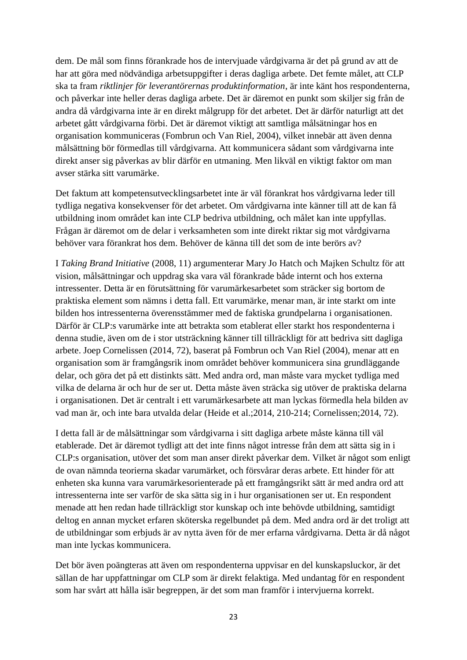dem. De mål som finns förankrade hos de intervjuade vårdgivarna är det på grund av att de har att göra med nödvändiga arbetsuppgifter i deras dagliga arbete. Det femte målet, att CLP ska ta fram *riktlinjer för leverantörernas produktinformation*, är inte känt hos respondenterna, och påverkar inte heller deras dagliga arbete. Det är däremot en punkt som skiljer sig från de andra då vårdgivarna inte är en direkt målgrupp för det arbetet. Det är därför naturligt att det arbetet gått vårdgivarna förbi. Det är däremot viktigt att samtliga målsätningar hos en organisation kommuniceras (Fombrun och Van Riel, 2004), vilket innebär att även denna målsättning bör förmedlas till vårdgivarna. Att kommunicera sådant som vårdgivarna inte direkt anser sig påverkas av blir därför en utmaning. Men likväl en viktigt faktor om man avser stärka sitt varumärke.

Det faktum att kompetensutvecklingsarbetet inte är väl förankrat hos vårdgivarna leder till tydliga negativa konsekvenser för det arbetet. Om vårdgivarna inte känner till att de kan få utbildning inom området kan inte CLP bedriva utbildning, och målet kan inte uppfyllas. Frågan är däremot om de delar i verksamheten som inte direkt riktar sig mot vårdgivarna behöver vara förankrat hos dem. Behöver de känna till det som de inte berörs av?

I *Taking Brand Initiative* (2008, 11) argumenterar Mary Jo Hatch och Majken Schultz för att vision, målsättningar och uppdrag ska vara väl förankrade både internt och hos externa intressenter. Detta är en förutsättning för varumärkesarbetet som sträcker sig bortom de praktiska element som nämns i detta fall. Ett varumärke, menar man, är inte starkt om inte bilden hos intressenterna överensstämmer med de faktiska grundpelarna i organisationen. Därför är CLP:s varumärke inte att betrakta som etablerat eller starkt hos respondenterna i denna studie, även om de i stor utsträckning känner till tillräckligt för att bedriva sitt dagliga arbete. Joep Cornelissen (2014, 72), baserat på Fombrun och Van Riel (2004), menar att en organisation som är framgångsrik inom området behöver kommunicera sina grundläggande delar, och göra det på ett distinkts sätt. Med andra ord, man måste vara mycket tydliga med vilka de delarna är och hur de ser ut. Detta måste även sträcka sig utöver de praktiska delarna i organisationen. Det är centralt i ett varumärkesarbete att man lyckas förmedla hela bilden av vad man är, och inte bara utvalda delar (Heide et al.;2014, 210-214; Cornelissen;2014, 72).

I detta fall är de målsättningar som vårdgivarna i sitt dagliga arbete måste känna till väl etablerade. Det är däremot tydligt att det inte finns något intresse från dem att sätta sig in i CLP:s organisation, utöver det som man anser direkt påverkar dem. Vilket är något som enligt de ovan nämnda teorierna skadar varumärket, och försvårar deras arbete. Ett hinder för att enheten ska kunna vara varumärkesorienterade på ett framgångsrikt sätt är med andra ord att intressenterna inte ser varför de ska sätta sig in i hur organisationen ser ut. En respondent menade att hen redan hade tillräckligt stor kunskap och inte behövde utbildning, samtidigt deltog en annan mycket erfaren sköterska regelbundet på dem. Med andra ord är det troligt att de utbildningar som erbjuds är av nytta även för de mer erfarna vårdgivarna. Detta är då något man inte lyckas kommunicera.

Det bör även poängteras att även om respondenterna uppvisar en del kunskapsluckor, är det sällan de har uppfattningar om CLP som är direkt felaktiga. Med undantag för en respondent som har svårt att hålla isär begreppen, är det som man framför i intervjuerna korrekt.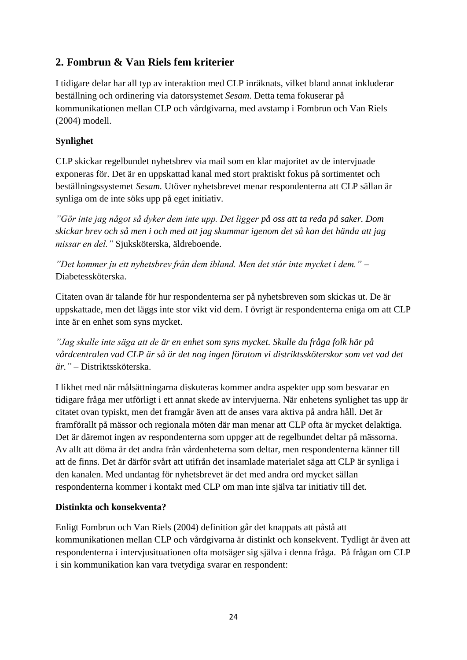## **2. Fombrun & Van Riels fem kriterier**

I tidigare delar har all typ av interaktion med CLP inräknats, vilket bland annat inkluderar beställning och ordinering via datorsystemet *Sesam*. Detta tema fokuserar på kommunikationen mellan CLP och vårdgivarna, med avstamp i Fombrun och Van Riels (2004) modell.

#### **Synlighet**

CLP skickar regelbundet nyhetsbrev via mail som en klar majoritet av de intervjuade exponeras för. Det är en uppskattad kanal med stort praktiskt fokus på sortimentet och beställningssystemet *Sesam.* Utöver nyhetsbrevet menar respondenterna att CLP sällan är synliga om de inte söks upp på eget initiativ.

*"Gör inte jag något så dyker dem inte upp. Det ligger på oss att ta reda på saker. Dom skickar brev och så men i och med att jag skummar igenom det så kan det hända att jag missar en del."* Sjuksköterska, äldreboende.

*"Det kommer ju ett nyhetsbrev från dem ibland. Men det står inte mycket i dem."* – Diabetessköterska.

Citaten ovan är talande för hur respondenterna ser på nyhetsbreven som skickas ut. De är uppskattade, men det läggs inte stor vikt vid dem. I övrigt är respondenterna eniga om att CLP inte är en enhet som syns mycket.

*"Jag skulle inte säga att de är en enhet som syns mycket. Skulle du fråga folk här på vårdcentralen vad CLP är så är det nog ingen förutom vi distriktssköterskor som vet vad det är."* – Distriktssköterska.

I likhet med när målsättningarna diskuteras kommer andra aspekter upp som besvarar en tidigare fråga mer utförligt i ett annat skede av intervjuerna. När enhetens synlighet tas upp är citatet ovan typiskt, men det framgår även att de anses vara aktiva på andra håll. Det är framförallt på mässor och regionala möten där man menar att CLP ofta är mycket delaktiga. Det är däremot ingen av respondenterna som uppger att de regelbundet deltar på mässorna. Av allt att döma är det andra från vårdenheterna som deltar, men respondenterna känner till att de finns. Det är därför svårt att utifrån det insamlade materialet säga att CLP är synliga i den kanalen. Med undantag för nyhetsbrevet är det med andra ord mycket sällan respondenterna kommer i kontakt med CLP om man inte själva tar initiativ till det.

#### **Distinkta och konsekventa?**

Enligt Fombrun och Van Riels (2004) definition går det knappats att påstå att kommunikationen mellan CLP och vårdgivarna är distinkt och konsekvent. Tydligt är även att respondenterna i intervjusituationen ofta motsäger sig själva i denna fråga. På frågan om CLP i sin kommunikation kan vara tvetydiga svarar en respondent: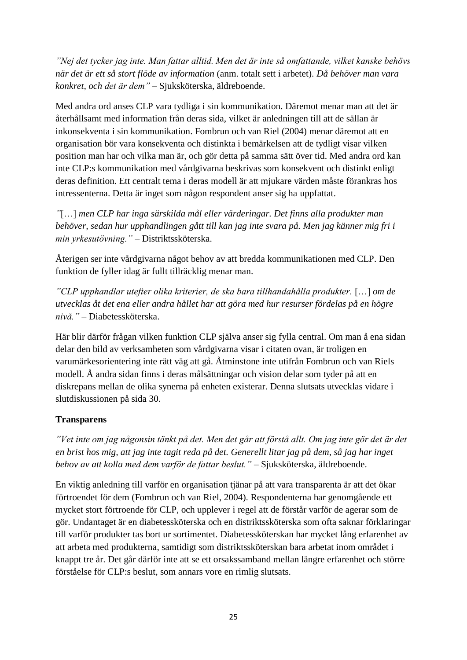*"Nej det tycker jag inte. Man fattar alltid. Men det är inte så omfattande, vilket kanske behövs när det är ett så stort flöde av information* (anm. totalt sett i arbetet)*. Då behöver man vara konkret, och det är dem"* – Sjuksköterska, äldreboende.

Med andra ord anses CLP vara tydliga i sin kommunikation. Däremot menar man att det är återhållsamt med information från deras sida, vilket är anledningen till att de sällan är inkonsekventa i sin kommunikation. Fombrun och van Riel (2004) menar däremot att en organisation bör vara konsekventa och distinkta i bemärkelsen att de tydligt visar vilken position man har och vilka man är, och gör detta på samma sätt över tid. Med andra ord kan inte CLP:s kommunikation med vårdgivarna beskrivas som konsekvent och distinkt enligt deras definition. Ett centralt tema i deras modell är att mjukare värden måste förankras hos intressenterna. Detta är inget som någon respondent anser sig ha uppfattat.

*"*[…] *men CLP har inga särskilda mål eller värderingar. Det finns alla produkter man behöver, sedan hur upphandlingen gått till kan jag inte svara på. Men jag känner mig fri i min yrkesutövning."* – Distriktssköterska.

Återigen ser inte vårdgivarna något behov av att bredda kommunikationen med CLP. Den funktion de fyller idag är fullt tillräcklig menar man.

*"CLP upphandlar utefter olika kriterier, de ska bara tillhandahålla produkter.* […] *om de utvecklas åt det ena eller andra hållet har att göra med hur resurser fördelas på en högre nivå."* – Diabetessköterska.

Här blir därför frågan vilken funktion CLP själva anser sig fylla central. Om man å ena sidan delar den bild av verksamheten som vårdgivarna visar i citaten ovan, är troligen en varumärkesorientering inte rätt väg att gå. Åtminstone inte utifrån Fombrun och van Riels modell. Å andra sidan finns i deras målsättningar och vision delar som tyder på att en diskrepans mellan de olika synerna på enheten existerar. Denna slutsats utvecklas vidare i slutdiskussionen på sida 30.

#### **Transparens**

*"Vet inte om jag någonsin tänkt på det. Men det går att förstå allt. Om jag inte gör det är det en brist hos mig, att jag inte tagit reda på det. Generellt litar jag på dem, så jag har inget behov av att kolla med dem varför de fattar beslut."* – Sjuksköterska, äldreboende.

En viktig anledning till varför en organisation tjänar på att vara transparenta är att det ökar förtroendet för dem (Fombrun och van Riel, 2004). Respondenterna har genomgående ett mycket stort förtroende för CLP, och upplever i regel att de förstår varför de agerar som de gör. Undantaget är en diabetessköterska och en distriktssköterska som ofta saknar förklaringar till varför produkter tas bort ur sortimentet. Diabetessköterskan har mycket lång erfarenhet av att arbeta med produkterna, samtidigt som distriktssköterskan bara arbetat inom området i knappt tre år. Det går därför inte att se ett orsakssamband mellan längre erfarenhet och större förståelse för CLP:s beslut, som annars vore en rimlig slutsats.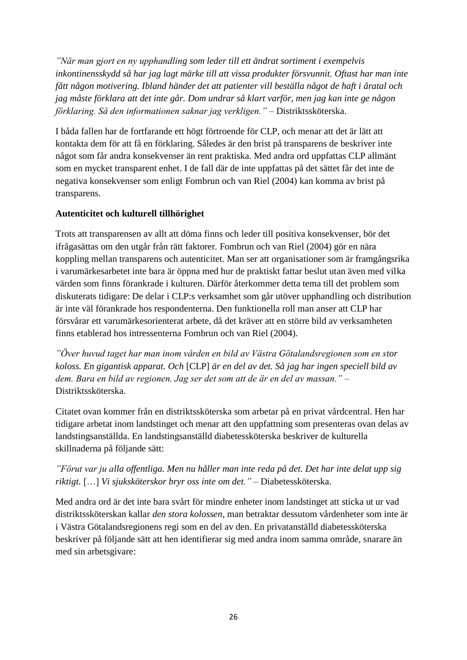*"När man gjort en ny upphandling som leder till ett ändrat sortiment i exempelvis inkontinensskydd så har jag lagt märke till att vissa produkter försvunnit. Oftast har man inte fått någon motivering. Ibland händer det att patienter vill beställa något de haft i åratal och jag måste förklara att det inte går. Dom undrar så klart varför, men jag kan inte ge någon förklaring. Så den informationen saknar jag verkligen."* – Distriktssköterska.

I båda fallen har de fortfarande ett högt förtroende för CLP, och menar att det är lätt att kontakta dem för att få en förklaring. Således är den brist på transparens de beskriver inte något som får andra konsekvenser än rent praktiska. Med andra ord uppfattas CLP allmänt som en mycket transparent enhet. I de fall där de inte uppfattas på det sättet får det inte de negativa konsekvenser som enligt Fombrun och van Riel (2004) kan komma av brist på transparens.

#### **Autenticitet och kulturell tillhörighet**

Trots att transparensen av allt att döma finns och leder till positiva konsekvenser, bör det ifrågasättas om den utgår från rätt faktorer. Fombrun och van Riel (2004) gör en nära koppling mellan transparens och autenticitet. Man ser att organisationer som är framgångsrika i varumärkesarbetet inte bara är öppna med hur de praktiskt fattar beslut utan även med vilka värden som finns förankrade i kulturen. Därför återkommer detta tema till det problem som diskuterats tidigare: De delar i CLP:s verksamhet som går utöver upphandling och distribution är inte väl förankrade hos respondenterna. Den funktionella roll man anser att CLP har försvårar ett varumärkesorienterat arbete, då det kräver att en större bild av verksamheten finns etablerad hos intressenterna Fombrun och van Riel (2004).

*"Över huvud taget har man inom vården en bild av Västra Götalandsregionen som en stor koloss. En gigantisk apparat. Och* [CLP] *är en del av det. Så jag har ingen speciell bild av dem. Bara en bild av regionen. Jag ser det som att de är en del av massan."* – Distriktssköterska.

Citatet ovan kommer från en distriktssköterska som arbetar på en privat vårdcentral. Hen har tidigare arbetat inom landstinget och menar att den uppfattning som presenteras ovan delas av landstingsanställda. En landstingsanställd diabetessköterska beskriver de kulturella skillnaderna på följande sätt:

## *"Förut var ju alla offentliga. Men nu håller man inte reda på det. Det har inte delat upp sig riktigt.* […] *Vi sjuksköterskor bryr oss inte om det."* – Diabetessköterska.

Med andra ord är det inte bara svårt för mindre enheter inom landstinget att sticka ut ur vad distriktssköterskan kallar *den stora kolossen*, man betraktar dessutom vårdenheter som inte är i Västra Götalandsregionens regi som en del av den. En privatanställd diabetessköterska beskriver på följande sätt att hen identifierar sig med andra inom samma område, snarare än med sin arbetsgivare: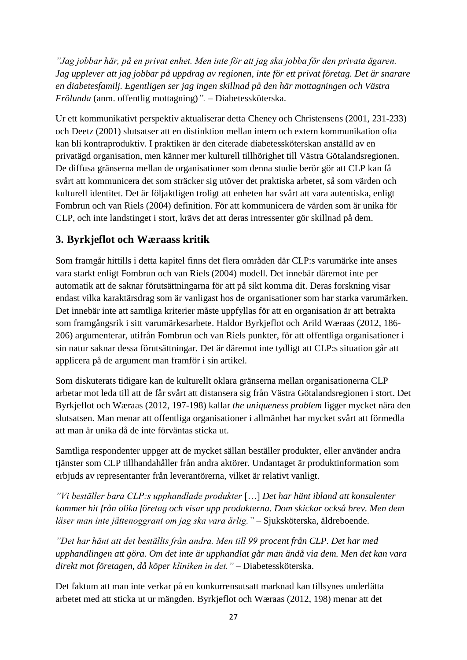*"Jag jobbar här, på en privat enhet. Men inte för att jag ska jobba för den privata ägaren. Jag upplever att jag jobbar på uppdrag av regionen, inte för ett privat företag. Det är snarare en diabetesfamilj. Egentligen ser jag ingen skillnad på den här mottagningen och Västra Frölunda* (anm. offentlig mottagning)*".* – Diabetessköterska.

Ur ett kommunikativt perspektiv aktualiserar detta Cheney och Christensens (2001, 231-233) och Deetz (2001) slutsatser att en distinktion mellan intern och extern kommunikation ofta kan bli kontraproduktiv. I praktiken är den citerade diabetessköterskan anställd av en privatägd organisation, men känner mer kulturell tillhörighet till Västra Götalandsregionen. De diffusa gränserna mellan de organisationer som denna studie berör gör att CLP kan få svårt att kommunicera det som sträcker sig utöver det praktiska arbetet, så som värden och kulturell identitet. Det är följaktligen troligt att enheten har svårt att vara autentiska, enligt Fombrun och van Riels (2004) definition. För att kommunicera de värden som är unika för CLP, och inte landstinget i stort, krävs det att deras intressenter gör skillnad på dem.

## **3. Byrkjeflot och Wæraass kritik**

Som framgår hittills i detta kapitel finns det flera områden där CLP:s varumärke inte anses vara starkt enligt Fombrun och van Riels (2004) modell. Det innebär däremot inte per automatik att de saknar förutsättningarna för att på sikt komma dit. Deras forskning visar endast vilka karaktärsdrag som är vanligast hos de organisationer som har starka varumärken. Det innebär inte att samtliga kriterier måste uppfyllas för att en organisation är att betrakta som framgångsrik i sitt varumärkesarbete. Haldor Byrkjeflot och Arild Wæraas (2012, 186- 206) argumenterar, utifrån Fombrun och van Riels punkter, för att offentliga organisationer i sin natur saknar dessa förutsättningar. Det är däremot inte tydligt att CLP:s situation går att applicera på de argument man framför i sin artikel.

Som diskuterats tidigare kan de kulturellt oklara gränserna mellan organisationerna CLP arbetar mot leda till att de får svårt att distansera sig från Västra Götalandsregionen i stort. Det Byrkjeflot och Wæraas (2012, 197-198) kallar *the uniqueness problem* ligger mycket nära den slutsatsen. Man menar att offentliga organisationer i allmänhet har mycket svårt att förmedla att man är unika då de inte förväntas sticka ut.

Samtliga respondenter uppger att de mycket sällan beställer produkter, eller använder andra tjänster som CLP tillhandahåller från andra aktörer. Undantaget är produktinformation som erbjuds av representanter från leverantörerna, vilket är relativt vanligt.

*"Vi beställer bara CLP:s upphandlade produkter* […] *Det har hänt ibland att konsulenter kommer hit från olika företag och visar upp produkterna. Dom skickar också brev. Men dem läser man inte jättenoggrant om jag ska vara ärlig."* – Sjuksköterska, äldreboende.

*"Det har hänt att det beställts från andra. Men till 99 procent från CLP. Det har med upphandlingen att göra. Om det inte är upphandlat går man ändå via dem. Men det kan vara direkt mot företagen, då köper kliniken in det."* – Diabetessköterska.

Det faktum att man inte verkar på en konkurrensutsatt marknad kan tillsynes underlätta arbetet med att sticka ut ur mängden. Byrkjeflot och Wæraas (2012, 198) menar att det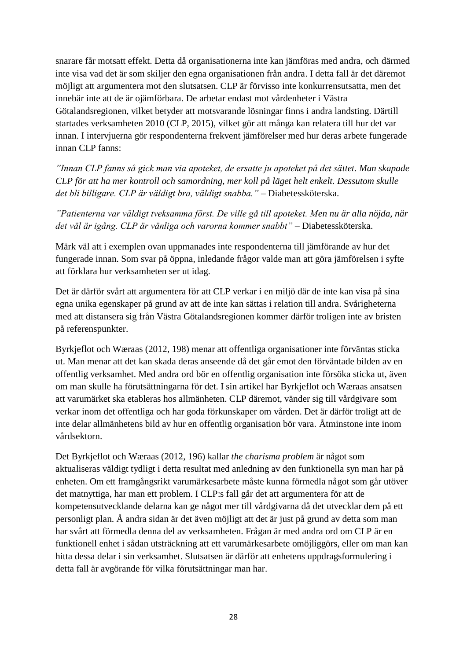snarare får motsatt effekt. Detta då organisationerna inte kan jämföras med andra, och därmed inte visa vad det är som skiljer den egna organisationen från andra. I detta fall är det däremot möjligt att argumentera mot den slutsatsen. CLP är förvisso inte konkurrensutsatta, men det innebär inte att de är ojämförbara. De arbetar endast mot vårdenheter i Västra Götalandsregionen, vilket betyder att motsvarande lösningar finns i andra landsting. Därtill startades verksamheten 2010 (CLP, 2015), vilket gör att många kan relatera till hur det var innan. I intervjuerna gör respondenterna frekvent jämförelser med hur deras arbete fungerade innan CLP fanns:

*"Innan CLP fanns så gick man via apoteket, de ersatte ju apoteket på det sättet. Man skapade CLP för att ha mer kontroll och samordning, mer koll på läget helt enkelt. Dessutom skulle det bli billigare. CLP är väldigt bra, väldigt snabba."* – Diabetessköterska.

*"Patienterna var väldigt tveksamma först. De ville gå till apoteket. Men nu är alla nöjda, när det väl är igång. CLP är vänliga och varorna kommer snabbt"* – Diabetessköterska.

Märk väl att i exemplen ovan uppmanades inte respondenterna till jämförande av hur det fungerade innan. Som svar på öppna, inledande frågor valde man att göra jämförelsen i syfte att förklara hur verksamheten ser ut idag.

Det är därför svårt att argumentera för att CLP verkar i en miljö där de inte kan visa på sina egna unika egenskaper på grund av att de inte kan sättas i relation till andra. Svårigheterna med att distansera sig från Västra Götalandsregionen kommer därför troligen inte av bristen på referenspunkter.

Byrkjeflot och Wæraas (2012, 198) menar att offentliga organisationer inte förväntas sticka ut. Man menar att det kan skada deras anseende då det går emot den förväntade bilden av en offentlig verksamhet. Med andra ord bör en offentlig organisation inte försöka sticka ut, även om man skulle ha förutsättningarna för det. I sin artikel har Byrkjeflot och Wæraas ansatsen att varumärket ska etableras hos allmänheten. CLP däremot, vänder sig till vårdgivare som verkar inom det offentliga och har goda förkunskaper om vården. Det är därför troligt att de inte delar allmänhetens bild av hur en offentlig organisation bör vara. Åtminstone inte inom vårdsektorn.

Det Byrkjeflot och Wæraas (2012, 196) kallar *the charisma problem* är något som aktualiseras väldigt tydligt i detta resultat med anledning av den funktionella syn man har på enheten. Om ett framgångsrikt varumärkesarbete måste kunna förmedla något som går utöver det matnyttiga, har man ett problem. I CLP:s fall går det att argumentera för att de kompetensutvecklande delarna kan ge något mer till vårdgivarna då det utvecklar dem på ett personligt plan. Å andra sidan är det även möjligt att det är just på grund av detta som man har svårt att förmedla denna del av verksamheten. Frågan är med andra ord om CLP är en funktionell enhet i sådan utsträckning att ett varumärkesarbete omöjliggörs, eller om man kan hitta dessa delar i sin verksamhet. Slutsatsen är därför att enhetens uppdragsformulering i detta fall är avgörande för vilka förutsättningar man har.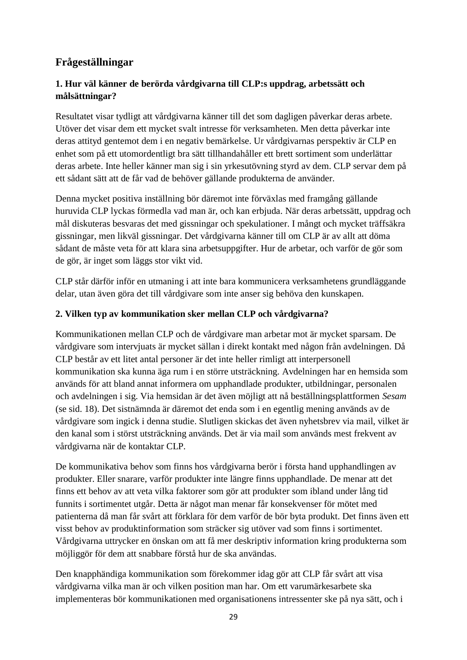## **Frågeställningar**

#### **1. Hur väl känner de berörda vårdgivarna till CLP:s uppdrag, arbetssätt och målsättningar?**

Resultatet visar tydligt att vårdgivarna känner till det som dagligen påverkar deras arbete. Utöver det visar dem ett mycket svalt intresse för verksamheten. Men detta påverkar inte deras attityd gentemot dem i en negativ bemärkelse. Ur vårdgivarnas perspektiv är CLP en enhet som på ett utomordentligt bra sätt tillhandahåller ett brett sortiment som underlättar deras arbete. Inte heller känner man sig i sin yrkesutövning styrd av dem. CLP servar dem på ett sådant sätt att de får vad de behöver gällande produkterna de använder.

Denna mycket positiva inställning bör däremot inte förväxlas med framgång gällande huruvida CLP lyckas förmedla vad man är, och kan erbjuda. När deras arbetssätt, uppdrag och mål diskuteras besvaras det med gissningar och spekulationer. I mångt och mycket träffsäkra gissningar, men likväl gissningar. Det vårdgivarna känner till om CLP är av allt att döma sådant de måste veta för att klara sina arbetsuppgifter. Hur de arbetar, och varför de gör som de gör, är inget som läggs stor vikt vid.

CLP står därför inför en utmaning i att inte bara kommunicera verksamhetens grundläggande delar, utan även göra det till vårdgivare som inte anser sig behöva den kunskapen.

#### **2. Vilken typ av kommunikation sker mellan CLP och vårdgivarna?**

Kommunikationen mellan CLP och de vårdgivare man arbetar mot är mycket sparsam. De vårdgivare som intervjuats är mycket sällan i direkt kontakt med någon från avdelningen. Då CLP består av ett litet antal personer är det inte heller rimligt att interpersonell kommunikation ska kunna äga rum i en större utsträckning. Avdelningen har en hemsida som används för att bland annat informera om upphandlade produkter, utbildningar, personalen och avdelningen i sig. Via hemsidan är det även möjligt att nå beställningsplattformen *Sesam* (se sid. 18). Det sistnämnda är däremot det enda som i en egentlig mening används av de vårdgivare som ingick i denna studie. Slutligen skickas det även nyhetsbrev via mail, vilket är den kanal som i störst utsträckning används. Det är via mail som används mest frekvent av vårdgivarna när de kontaktar CLP.

De kommunikativa behov som finns hos vårdgivarna berör i första hand upphandlingen av produkter. Eller snarare, varför produkter inte längre finns upphandlade. De menar att det finns ett behov av att veta vilka faktorer som gör att produkter som ibland under lång tid funnits i sortimentet utgår. Detta är något man menar får konsekvenser för mötet med patienterna då man får svårt att förklara för dem varför de bör byta produkt. Det finns även ett visst behov av produktinformation som sträcker sig utöver vad som finns i sortimentet. Vårdgivarna uttrycker en önskan om att få mer deskriptiv information kring produkterna som möjliggör för dem att snabbare förstå hur de ska användas.

Den knapphändiga kommunikation som förekommer idag gör att CLP får svårt att visa vårdgivarna vilka man är och vilken position man har. Om ett varumärkesarbete ska implementeras bör kommunikationen med organisationens intressenter ske på nya sätt, och i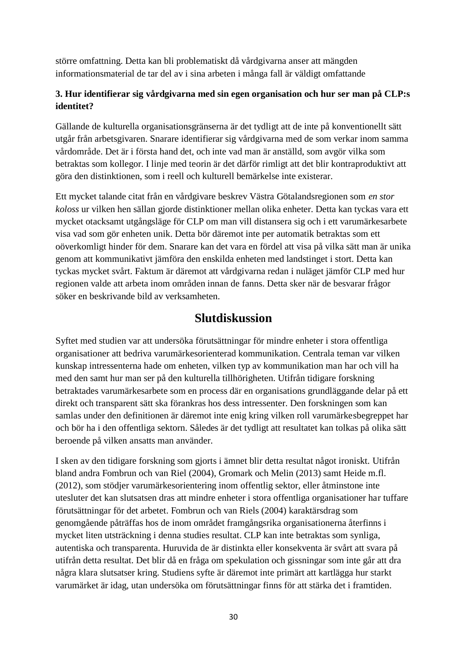större omfattning. Detta kan bli problematiskt då vårdgivarna anser att mängden informationsmaterial de tar del av i sina arbeten i många fall är väldigt omfattande

#### **3. Hur identifierar sig vårdgivarna med sin egen organisation och hur ser man på CLP:s identitet?**

Gällande de kulturella organisationsgränserna är det tydligt att de inte på konventionellt sätt utgår från arbetsgivaren. Snarare identifierar sig vårdgivarna med de som verkar inom samma vårdområde. Det är i första hand det, och inte vad man är anställd, som avgör vilka som betraktas som kollegor. I linje med teorin är det därför rimligt att det blir kontraproduktivt att göra den distinktionen, som i reell och kulturell bemärkelse inte existerar.

Ett mycket talande citat från en vårdgivare beskrev Västra Götalandsregionen som *en stor koloss* ur vilken hen sällan gjorde distinktioner mellan olika enheter. Detta kan tyckas vara ett mycket otacksamt utgångsläge för CLP om man vill distansera sig och i ett varumärkesarbete visa vad som gör enheten unik. Detta bör däremot inte per automatik betraktas som ett oöverkomligt hinder för dem. Snarare kan det vara en fördel att visa på vilka sätt man är unika genom att kommunikativt jämföra den enskilda enheten med landstinget i stort. Detta kan tyckas mycket svårt. Faktum är däremot att vårdgivarna redan i nuläget jämför CLP med hur regionen valde att arbeta inom områden innan de fanns. Detta sker när de besvarar frågor söker en beskrivande bild av verksamheten.

## **Slutdiskussion**

Syftet med studien var att undersöka förutsättningar för mindre enheter i stora offentliga organisationer att bedriva varumärkesorienterad kommunikation. Centrala teman var vilken kunskap intressenterna hade om enheten, vilken typ av kommunikation man har och vill ha med den samt hur man ser på den kulturella tillhörigheten. Utifrån tidigare forskning betraktades varumärkesarbete som en process där en organisations grundläggande delar på ett direkt och transparent sätt ska förankras hos dess intressenter. Den forskningen som kan samlas under den definitionen är däremot inte enig kring vilken roll varumärkesbegreppet har och bör ha i den offentliga sektorn. Således är det tydligt att resultatet kan tolkas på olika sätt beroende på vilken ansatts man använder.

I sken av den tidigare forskning som gjorts i ämnet blir detta resultat något ironiskt. Utifrån bland andra Fombrun och van Riel (2004), Gromark och Melin (2013) samt Heide m.fl. (2012), som stödjer varumärkesorientering inom offentlig sektor, eller åtminstone inte utesluter det kan slutsatsen dras att mindre enheter i stora offentliga organisationer har tuffare förutsättningar för det arbetet. Fombrun och van Riels (2004) karaktärsdrag som genomgående påträffas hos de inom området framgångsrika organisationerna återfinns i mycket liten utsträckning i denna studies resultat. CLP kan inte betraktas som synliga, autentiska och transparenta. Huruvida de är distinkta eller konsekventa är svårt att svara på utifrån detta resultat. Det blir då en fråga om spekulation och gissningar som inte går att dra några klara slutsatser kring. Studiens syfte är däremot inte primärt att kartlägga hur starkt varumärket är idag, utan undersöka om förutsättningar finns för att stärka det i framtiden.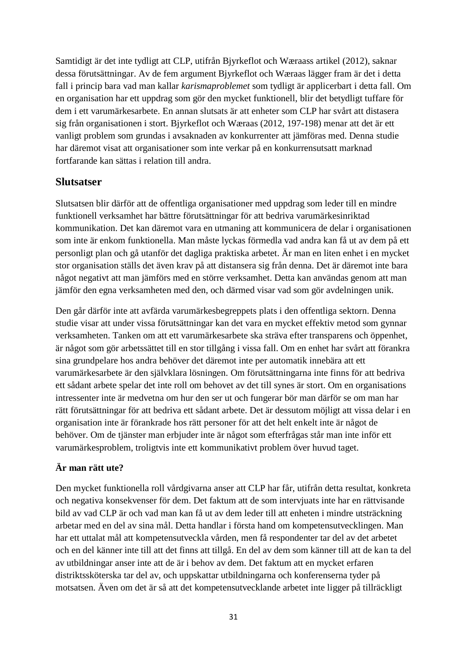Samtidigt är det inte tydligt att CLP, utifrån Bjyrkeflot och Wæraass artikel (2012), saknar dessa förutsättningar. Av de fem argument Bjyrkeflot och Wæraas lägger fram är det i detta fall i princip bara vad man kallar *karismaproblemet* som tydligt är applicerbart i detta fall. Om en organisation har ett uppdrag som gör den mycket funktionell, blir det betydligt tuffare för dem i ett varumärkesarbete. En annan slutsats är att enheter som CLP har svårt att distasera sig från organisationen i stort. Bjyrkeflot och Wæraas (2012, 197-198) menar att det är ett vanligt problem som grundas i avsaknaden av konkurrenter att jämföras med. Denna studie har däremot visat att organisationer som inte verkar på en konkurrensutsatt marknad fortfarande kan sättas i relation till andra.

#### **Slutsatser**

Slutsatsen blir därför att de offentliga organisationer med uppdrag som leder till en mindre funktionell verksamhet har bättre förutsättningar för att bedriva varumärkesinriktad kommunikation. Det kan däremot vara en utmaning att kommunicera de delar i organisationen som inte är enkom funktionella. Man måste lyckas förmedla vad andra kan få ut av dem på ett personligt plan och gå utanför det dagliga praktiska arbetet. Är man en liten enhet i en mycket stor organisation ställs det även krav på att distansera sig från denna. Det är däremot inte bara något negativt att man jämförs med en större verksamhet. Detta kan användas genom att man jämför den egna verksamheten med den, och därmed visar vad som gör avdelningen unik.

Den går därför inte att avfärda varumärkesbegreppets plats i den offentliga sektorn. Denna studie visar att under vissa förutsättningar kan det vara en mycket effektiv metod som gynnar verksamheten. Tanken om att ett varumärkesarbete ska sträva efter transparens och öppenhet, är något som gör arbetssättet till en stor tillgång i vissa fall. Om en enhet har svårt att förankra sina grundpelare hos andra behöver det däremot inte per automatik innebära att ett varumärkesarbete är den självklara lösningen. Om förutsättningarna inte finns för att bedriva ett sådant arbete spelar det inte roll om behovet av det till synes är stort. Om en organisations intressenter inte är medvetna om hur den ser ut och fungerar bör man därför se om man har rätt förutsättningar för att bedriva ett sådant arbete. Det är dessutom möjligt att vissa delar i en organisation inte är förankrade hos rätt personer för att det helt enkelt inte är något de behöver. Om de tjänster man erbjuder inte är något som efterfrågas står man inte inför ett varumärkesproblem, troligtvis inte ett kommunikativt problem över huvud taget.

## **Är man rätt ute?**

Den mycket funktionella roll vårdgivarna anser att CLP har får, utifrån detta resultat, konkreta och negativa konsekvenser för dem. Det faktum att de som intervjuats inte har en rättvisande bild av vad CLP är och vad man kan få ut av dem leder till att enheten i mindre utsträckning arbetar med en del av sina mål. Detta handlar i första hand om kompetensutvecklingen. Man har ett uttalat mål att kompetensutveckla vården, men få respondenter tar del av det arbetet och en del känner inte till att det finns att tillgå. En del av dem som känner till att de kan ta del av utbildningar anser inte att de är i behov av dem. Det faktum att en mycket erfaren distriktssköterska tar del av, och uppskattar utbildningarna och konferenserna tyder på motsatsen. Även om det är så att det kompetensutvecklande arbetet inte ligger på tillräckligt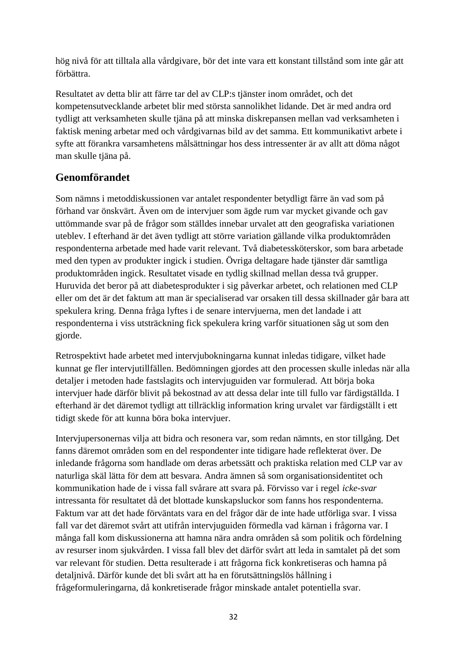hög nivå för att tilltala alla vårdgivare, bör det inte vara ett konstant tillstånd som inte går att förbättra.

Resultatet av detta blir att färre tar del av CLP:s tjänster inom området, och det kompetensutvecklande arbetet blir med största sannolikhet lidande. Det är med andra ord tydligt att verksamheten skulle tjäna på att minska diskrepansen mellan vad verksamheten i faktisk mening arbetar med och vårdgivarnas bild av det samma. Ett kommunikativt arbete i syfte att förankra varsamhetens målsättningar hos dess intressenter är av allt att döma något man skulle tjäna på.

## **Genomförandet**

Som nämns i metoddiskussionen var antalet respondenter betydligt färre än vad som på förhand var önskvärt. Även om de intervjuer som ägde rum var mycket givande och gav uttömmande svar på de frågor som ställdes innebar urvalet att den geografiska variationen uteblev. I efterhand är det även tydligt att större variation gällande vilka produktområden respondenterna arbetade med hade varit relevant. Två diabetessköterskor, som bara arbetade med den typen av produkter ingick i studien. Övriga deltagare hade tjänster där samtliga produktområden ingick. Resultatet visade en tydlig skillnad mellan dessa två grupper. Huruvida det beror på att diabetesprodukter i sig påverkar arbetet, och relationen med CLP eller om det är det faktum att man är specialiserad var orsaken till dessa skillnader går bara att spekulera kring. Denna fråga lyftes i de senare intervjuerna, men det landade i att respondenterna i viss utsträckning fick spekulera kring varför situationen såg ut som den gjorde.

Retrospektivt hade arbetet med intervjubokningarna kunnat inledas tidigare, vilket hade kunnat ge fler intervjutillfällen. Bedömningen gjordes att den processen skulle inledas när alla detaljer i metoden hade fastslagits och intervjuguiden var formulerad. Att börja boka intervjuer hade därför blivit på bekostnad av att dessa delar inte till fullo var färdigställda. I efterhand är det däremot tydligt att tillräcklig information kring urvalet var färdigställt i ett tidigt skede för att kunna böra boka intervjuer.

Intervjupersonernas vilja att bidra och resonera var, som redan nämnts, en stor tillgång. Det fanns däremot områden som en del respondenter inte tidigare hade reflekterat över. De inledande frågorna som handlade om deras arbetssätt och praktiska relation med CLP var av naturliga skäl lätta för dem att besvara. Andra ämnen så som organisationsidentitet och kommunikation hade de i vissa fall svårare att svara på. Förvisso var i regel *icke-svar* intressanta för resultatet då det blottade kunskapsluckor som fanns hos respondenterna. Faktum var att det hade förväntats vara en del frågor där de inte hade utförliga svar. I vissa fall var det däremot svårt att utifrån intervjuguiden förmedla vad kärnan i frågorna var. I många fall kom diskussionerna att hamna nära andra områden så som politik och fördelning av resurser inom sjukvården. I vissa fall blev det därför svårt att leda in samtalet på det som var relevant för studien. Detta resulterade i att frågorna fick konkretiseras och hamna på detaljnivå. Därför kunde det bli svårt att ha en förutsättningslös hållning i frågeformuleringarna, då konkretiserade frågor minskade antalet potentiella svar.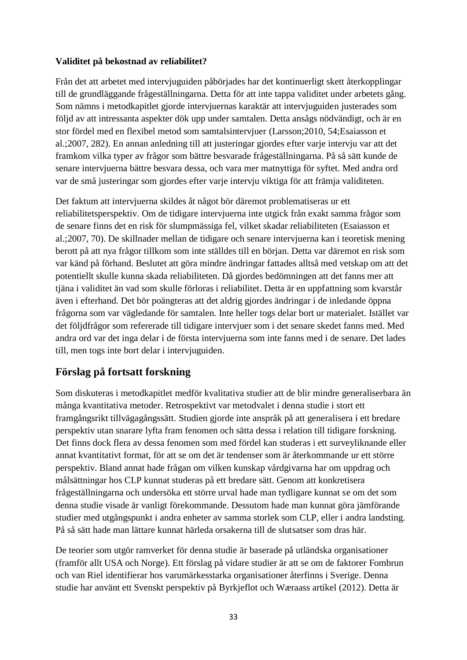#### **Validitet på bekostnad av reliabilitet?**

Från det att arbetet med intervjuguiden påbörjades har det kontinuerligt skett återkopplingar till de grundläggande frågeställningarna. Detta för att inte tappa validitet under arbetets gång. Som nämns i metodkapitlet gjorde intervjuernas karaktär att intervjuguiden justerades som följd av att intressanta aspekter dök upp under samtalen. Detta ansågs nödvändigt, och är en stor fördel med en flexibel metod som samtalsintervjuer (Larsson;2010, 54;Esaiasson et al.;2007, 282). En annan anledning till att justeringar gjordes efter varje intervju var att det framkom vilka typer av frågor som bättre besvarade frågeställningarna. På så sätt kunde de senare intervjuerna bättre besvara dessa, och vara mer matnyttiga för syftet. Med andra ord var de små justeringar som gjordes efter varje intervju viktiga för att främja validiteten.

Det faktum att intervjuerna skildes åt något bör däremot problematiseras ur ett reliabilitetsperspektiv. Om de tidigare intervjuerna inte utgick från exakt samma frågor som de senare finns det en risk för slumpmässiga fel, vilket skadar reliabiliteten (Esaiasson et al.;2007, 70). De skillnader mellan de tidigare och senare intervjuerna kan i teoretisk mening berott på att nya frågor tillkom som inte ställdes till en början. Detta var däremot en risk som var känd på förhand. Beslutet att göra mindre ändringar fattades alltså med vetskap om att det potentiellt skulle kunna skada reliabiliteten. Då gjordes bedömningen att det fanns mer att tjäna i validitet än vad som skulle förloras i reliabilitet. Detta är en uppfattning som kvarstår även i efterhand. Det bör poängteras att det aldrig gjordes ändringar i de inledande öppna frågorna som var vägledande för samtalen. Inte heller togs delar bort ur materialet. Istället var det följdfrågor som refererade till tidigare intervjuer som i det senare skedet fanns med. Med andra ord var det inga delar i de första intervjuerna som inte fanns med i de senare. Det lades till, men togs inte bort delar i intervjuguiden.

## **Förslag på fortsatt forskning**

Som diskuteras i metodkapitlet medför kvalitativa studier att de blir mindre generaliserbara än många kvantitativa metoder. Retrospektivt var metodvalet i denna studie i stort ett framgångsrikt tillvägagångssätt. Studien gjorde inte anspråk på att generalisera i ett bredare perspektiv utan snarare lyfta fram fenomen och sätta dessa i relation till tidigare forskning. Det finns dock flera av dessa fenomen som med fördel kan studeras i ett surveyliknande eller annat kvantitativt format, för att se om det är tendenser som är återkommande ur ett större perspektiv. Bland annat hade frågan om vilken kunskap vårdgivarna har om uppdrag och målsättningar hos CLP kunnat studeras på ett bredare sätt. Genom att konkretisera frågeställningarna och undersöka ett större urval hade man tydligare kunnat se om det som denna studie visade är vanligt förekommande. Dessutom hade man kunnat göra jämförande studier med utgångspunkt i andra enheter av samma storlek som CLP, eller i andra landsting. På så sätt hade man lättare kunnat härleda orsakerna till de slutsatser som dras här.

De teorier som utgör ramverket för denna studie är baserade på utländska organisationer (framför allt USA och Norge). Ett förslag på vidare studier är att se om de faktorer Fombrun och van Riel identifierar hos varumärkesstarka organisationer återfinns i Sverige. Denna studie har använt ett Svenskt perspektiv på Byrkjeflot och Wæraass artikel (2012). Detta är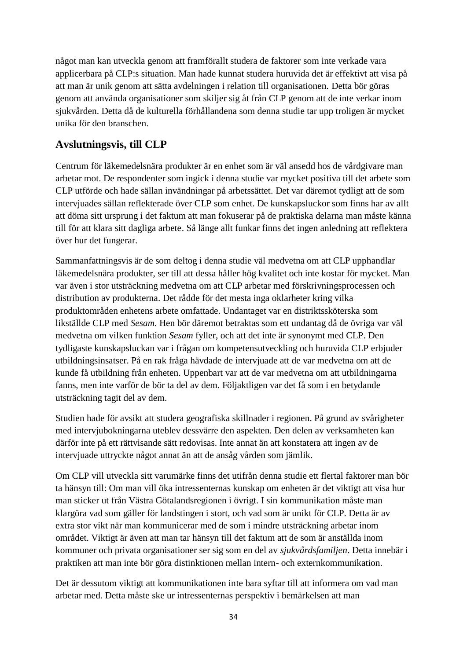något man kan utveckla genom att framförallt studera de faktorer som inte verkade vara applicerbara på CLP:s situation. Man hade kunnat studera huruvida det är effektivt att visa på att man är unik genom att sätta avdelningen i relation till organisationen. Detta bör göras genom att använda organisationer som skiljer sig åt från CLP genom att de inte verkar inom sjukvården. Detta då de kulturella förhållandena som denna studie tar upp troligen är mycket unika för den branschen.

## **Avslutningsvis, till CLP**

Centrum för läkemedelsnära produkter är en enhet som är väl ansedd hos de vårdgivare man arbetar mot. De respondenter som ingick i denna studie var mycket positiva till det arbete som CLP utförde och hade sällan invändningar på arbetssättet. Det var däremot tydligt att de som intervjuades sällan reflekterade över CLP som enhet. De kunskapsluckor som finns har av allt att döma sitt ursprung i det faktum att man fokuserar på de praktiska delarna man måste känna till för att klara sitt dagliga arbete. Så länge allt funkar finns det ingen anledning att reflektera över hur det fungerar.

Sammanfattningsvis är de som deltog i denna studie väl medvetna om att CLP upphandlar läkemedelsnära produkter, ser till att dessa håller hög kvalitet och inte kostar för mycket. Man var även i stor utsträckning medvetna om att CLP arbetar med förskrivningsprocessen och distribution av produkterna. Det rådde för det mesta inga oklarheter kring vilka produktområden enhetens arbete omfattade. Undantaget var en distriktssköterska som likställde CLP med *Sesam*. Hen bör däremot betraktas som ett undantag då de övriga var väl medvetna om vilken funktion *Sesam* fyller, och att det inte är synonymt med CLP. Den tydligaste kunskapsluckan var i frågan om kompetensutveckling och huruvida CLP erbjuder utbildningsinsatser. På en rak fråga hävdade de intervjuade att de var medvetna om att de kunde få utbildning från enheten. Uppenbart var att de var medvetna om att utbildningarna fanns, men inte varför de bör ta del av dem. Följaktligen var det få som i en betydande utsträckning tagit del av dem.

Studien hade för avsikt att studera geografiska skillnader i regionen. På grund av svårigheter med intervjubokningarna uteblev dessvärre den aspekten. Den delen av verksamheten kan därför inte på ett rättvisande sätt redovisas. Inte annat än att konstatera att ingen av de intervjuade uttryckte något annat än att de ansåg vården som jämlik.

Om CLP vill utveckla sitt varumärke finns det utifrån denna studie ett flertal faktorer man bör ta hänsyn till: Om man vill öka intressenternas kunskap om enheten är det viktigt att visa hur man sticker ut från Västra Götalandsregionen i övrigt. I sin kommunikation måste man klargöra vad som gäller för landstingen i stort, och vad som är unikt för CLP. Detta är av extra stor vikt när man kommunicerar med de som i mindre utsträckning arbetar inom området. Viktigt är även att man tar hänsyn till det faktum att de som är anställda inom kommuner och privata organisationer ser sig som en del av *sjukvårdsfamiljen*. Detta innebär i praktiken att man inte bör göra distinktionen mellan intern- och externkommunikation.

Det är dessutom viktigt att kommunikationen inte bara syftar till att informera om vad man arbetar med. Detta måste ske ur intressenternas perspektiv i bemärkelsen att man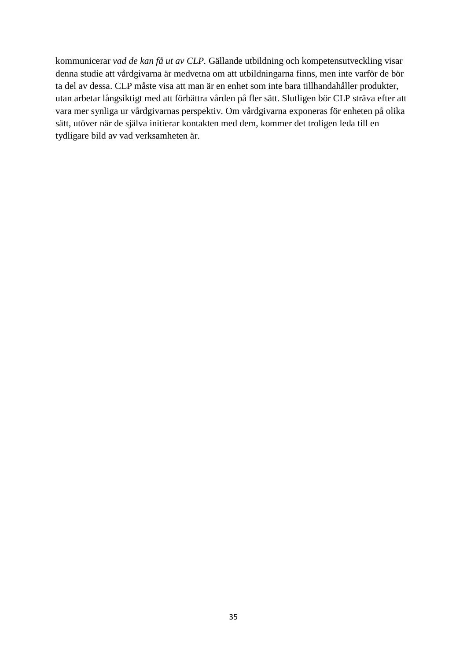kommunicerar *vad de kan få ut av CLP.* Gällande utbildning och kompetensutveckling visar denna studie att vårdgivarna är medvetna om att utbildningarna finns, men inte varför de bör ta del av dessa. CLP måste visa att man är en enhet som inte bara tillhandahåller produkter, utan arbetar långsiktigt med att förbättra vården på fler sätt. Slutligen bör CLP sträva efter att vara mer synliga ur vårdgivarnas perspektiv. Om vårdgivarna exponeras för enheten på olika sätt, utöver när de själva initierar kontakten med dem, kommer det troligen leda till en tydligare bild av vad verksamheten är.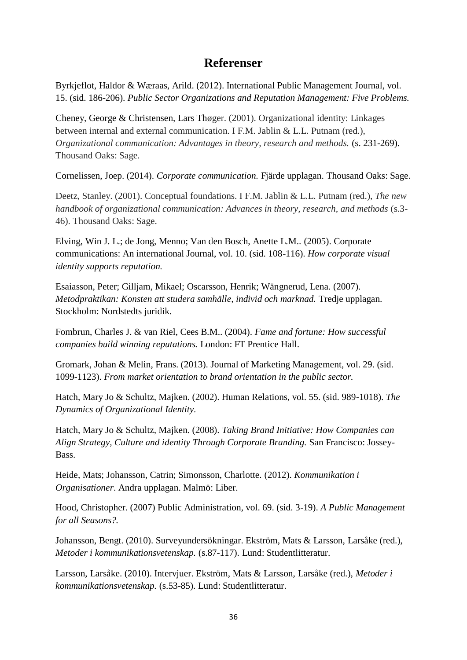## **Referenser**

Byrkjeflot, Haldor & Wæraas, Arild. (2012). International Public Management Journal, vol. 15. (sid. 186-206). *Public Sector Organizations and Reputation Management: Five Problems.*

Cheney, George & Christensen, Lars Thøger. (2001). Organizational identity: Linkages between internal and external communication. I F.M. Jablin & L.L. Putnam (red.), *Organizational communication: Advantages in theory, research and methods.* (s. 231-269). Thousand Oaks: Sage.

Cornelissen, Joep. (2014). *Corporate communication.* Fjärde upplagan. Thousand Oaks: Sage.

Deetz, Stanley. (2001). Conceptual foundations. I F.M. Jablin & L.L. Putnam (red.), *The new handbook of organizational communication: Advances in theory, research, and methods* (s.3- 46). Thousand Oaks: Sage.

Elving, Win J. L.; de Jong, Menno; Van den Bosch, Anette L.M.. (2005). Corporate communications: An international Journal, vol. 10. (sid. 108-116). *How corporate visual identity supports reputation.*

Esaiasson, Peter; Gilljam, Mikael; Oscarsson, Henrik; Wängnerud, Lena. (2007). *Metodpraktikan: Konsten att studera samhälle, individ och marknad.* Tredje upplagan. Stockholm: Nordstedts juridik.

Fombrun, Charles J. & van Riel, Cees B.M.. (2004). *Fame and fortune: How successful companies build winning reputations.* London: FT Prentice Hall.

Gromark, Johan & Melin, Frans. (2013). Journal of Marketing Management, vol. 29. (sid. 1099-1123). *From market orientation to brand orientation in the public sector.*

Hatch, Mary Jo & Schultz, Majken. (2002). Human Relations, vol. 55. (sid. 989-1018). *The Dynamics of Organizational Identity.*

Hatch, Mary Jo & Schultz, Majken. (2008). *Taking Brand Initiative: How Companies can Align Strategy, Culture and identity Through Corporate Branding.* San Francisco: Jossey-Bass.

Heide, Mats; Johansson, Catrin; Simonsson, Charlotte. (2012). *Kommunikation i Organisationer*. Andra upplagan. Malmö: Liber.

Hood, Christopher. (2007) Public Administration, vol. 69. (sid. 3-19). *A Public Management for all Seasons?.* 

Johansson, Bengt. (2010). Surveyundersökningar. Ekström, Mats & Larsson, Larsåke (red.), *Metoder i kommunikationsvetenskap.* (s.87-117). Lund: Studentlitteratur.

Larsson, Larsåke. (2010). Intervjuer. Ekström, Mats & Larsson, Larsåke (red.), *Metoder i kommunikationsvetenskap.* (s.53-85). Lund: Studentlitteratur.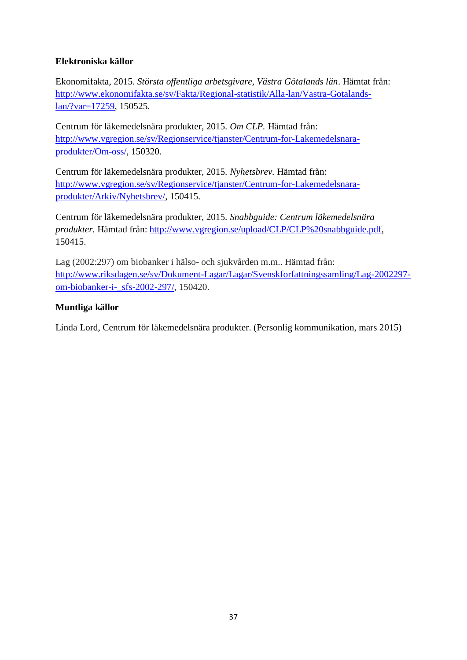#### **Elektroniska källor**

Ekonomifakta, 2015. *Största offentliga arbetsgivare, Västra Götalands län*. Hämtat från: [http://www.ekonomifakta.se/sv/Fakta/Regional-statistik/Alla-lan/Vastra-Gotalands](http://www.ekonomifakta.se/sv/Fakta/Regional-statistik/Alla-lan/Vastra-Gotalands-lan/?var=17259)[lan/?var=17259,](http://www.ekonomifakta.se/sv/Fakta/Regional-statistik/Alla-lan/Vastra-Gotalands-lan/?var=17259) 150525.

Centrum för läkemedelsnära produkter, 2015. *Om CLP.* Hämtad från: [http://www.vgregion.se/sv/Regionservice/tjanster/Centrum-for-Lakemedelsnara](http://www.vgregion.se/sv/Regionservice/tjanster/Centrum-for-Lakemedelsnara-produkter/Om-oss/)[produkter/Om-oss/,](http://www.vgregion.se/sv/Regionservice/tjanster/Centrum-for-Lakemedelsnara-produkter/Om-oss/) 150320.

Centrum för läkemedelsnära produkter, 2015. *Nyhetsbrev.* Hämtad från: [http://www.vgregion.se/sv/Regionservice/tjanster/Centrum-for-Lakemedelsnara](http://www.vgregion.se/sv/Regionservice/tjanster/Centrum-for-Lakemedelsnara-produkter/Arkiv/Nyhetsbrev/)[produkter/Arkiv/Nyhetsbrev/,](http://www.vgregion.se/sv/Regionservice/tjanster/Centrum-for-Lakemedelsnara-produkter/Arkiv/Nyhetsbrev/) 150415.

Centrum för läkemedelsnära produkter, 2015. *Snabbguide: Centrum läkemedelsnära produkter.* Hämtad från: [http://www.vgregion.se/upload/CLP/CLP%20snabbguide.pdf,](http://www.vgregion.se/upload/CLP/CLP%20snabbguide.pdf) 150415.

Lag (2002:297) om biobanker i hälso- och sjukvården m.m.. Hämtad från: [http://www.riksdagen.se/sv/Dokument-Lagar/Lagar/Svenskforfattningssamling/Lag-2002297](http://www.riksdagen.se/sv/Dokument-Lagar/Lagar/Svenskforfattningssamling/Lag-2002297-om-biobanker-i-_sfs-2002-297/) [om-biobanker-i-\\_sfs-2002-297/,](http://www.riksdagen.se/sv/Dokument-Lagar/Lagar/Svenskforfattningssamling/Lag-2002297-om-biobanker-i-_sfs-2002-297/) 150420.

#### **Muntliga källor**

Linda Lord, Centrum för läkemedelsnära produkter. (Personlig kommunikation, mars 2015)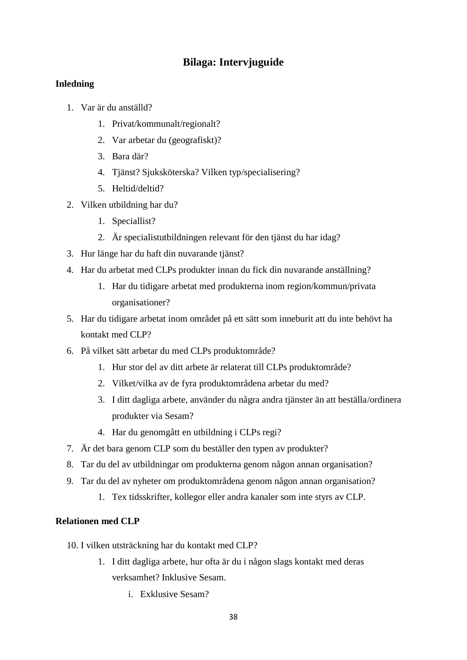## **Bilaga: Intervjuguide**

#### **Inledning**

- 1. Var är du anställd?
	- 1. Privat/kommunalt/regionalt?
	- 2. Var arbetar du (geografiskt)?
	- 3. Bara där?
	- 4. Tjänst? Sjuksköterska? Vilken typ/specialisering?
	- 5. Heltid/deltid?
- 2. Vilken utbildning har du?
	- 1. Speciallist?
	- 2. Är specialistutbildningen relevant för den tjänst du har idag?
- 3. Hur länge har du haft din nuvarande tjänst?
- 4. Har du arbetat med CLPs produkter innan du fick din nuvarande anställning?
	- 1. Har du tidigare arbetat med produkterna inom region/kommun/privata organisationer?
- 5. Har du tidigare arbetat inom området på ett sätt som inneburit att du inte behövt ha kontakt med CLP?
- 6. På vilket sätt arbetar du med CLPs produktområde?
	- 1. Hur stor del av ditt arbete är relaterat till CLPs produktområde?
	- 2. Vilket/vilka av de fyra produktområdena arbetar du med?
	- 3. I ditt dagliga arbete, använder du några andra tjänster än att beställa/ordinera produkter via Sesam?
	- 4. Har du genomgått en utbildning i CLPs regi?
- 7. Är det bara genom CLP som du beställer den typen av produkter?
- 8. Tar du del av utbildningar om produkterna genom någon annan organisation?
- 9. Tar du del av nyheter om produktområdena genom någon annan organisation?
	- 1. Tex tidsskrifter, kollegor eller andra kanaler som inte styrs av CLP.

#### **Relationen med CLP**

- 10. I vilken utsträckning har du kontakt med CLP?
	- 1. I ditt dagliga arbete, hur ofta är du i någon slags kontakt med deras verksamhet? Inklusive Sesam.
		- i. Exklusive Sesam?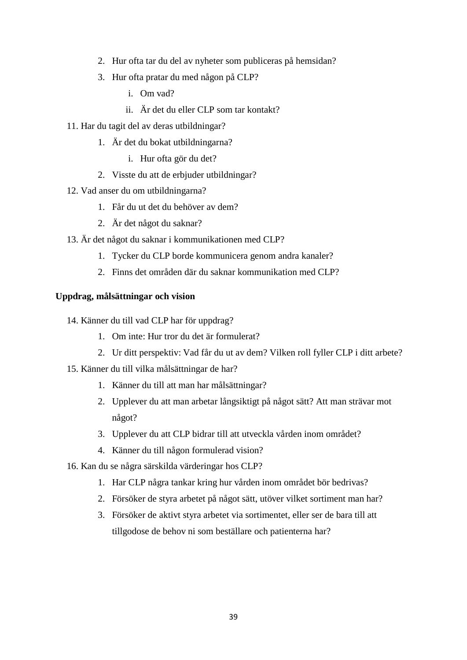- 2. Hur ofta tar du del av nyheter som publiceras på hemsidan?
- 3. Hur ofta pratar du med någon på CLP?
	- i. Om vad?
	- ii. Är det du eller CLP som tar kontakt?
- 11. Har du tagit del av deras utbildningar?
	- 1. Är det du bokat utbildningarna?
		- i. Hur ofta gör du det?
	- 2. Visste du att de erbjuder utbildningar?
- 12. Vad anser du om utbildningarna?
	- 1. Får du ut det du behöver av dem?
	- 2. Är det något du saknar?
- 13. Är det något du saknar i kommunikationen med CLP?
	- 1. Tycker du CLP borde kommunicera genom andra kanaler?
	- 2. Finns det områden där du saknar kommunikation med CLP?

#### **Uppdrag, målsättningar och vision**

- 14. Känner du till vad CLP har för uppdrag?
	- 1. Om inte: Hur tror du det är formulerat?
	- 2. Ur ditt perspektiv: Vad får du ut av dem? Vilken roll fyller CLP i ditt arbete?
- 15. Känner du till vilka målsättningar de har?
	- 1. Känner du till att man har målsättningar?
	- 2. Upplever du att man arbetar långsiktigt på något sätt? Att man strävar mot något?
	- 3. Upplever du att CLP bidrar till att utveckla vården inom området?
	- 4. Känner du till någon formulerad vision?
- 16. Kan du se några särskilda värderingar hos CLP?
	- 1. Har CLP några tankar kring hur vården inom området bör bedrivas?
	- 2. Försöker de styra arbetet på något sätt, utöver vilket sortiment man har?
	- 3. Försöker de aktivt styra arbetet via sortimentet, eller ser de bara till att tillgodose de behov ni som beställare och patienterna har?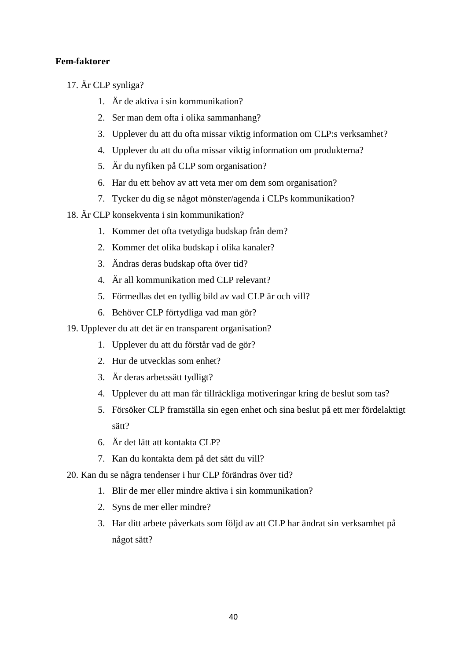#### **Fem-faktorer**

- 17. Är CLP synliga?
	- 1. Är de aktiva i sin kommunikation?
	- 2. Ser man dem ofta i olika sammanhang?
	- 3. Upplever du att du ofta missar viktig information om CLP:s verksamhet?
	- 4. Upplever du att du ofta missar viktig information om produkterna?
	- 5. Är du nyfiken på CLP som organisation?
	- 6. Har du ett behov av att veta mer om dem som organisation?
	- 7. Tycker du dig se något mönster/agenda i CLPs kommunikation?
- 18. Är CLP konsekventa i sin kommunikation?
	- 1. Kommer det ofta tvetydiga budskap från dem?
	- 2. Kommer det olika budskap i olika kanaler?
	- 3. Ändras deras budskap ofta över tid?
	- 4. Är all kommunikation med CLP relevant?
	- 5. Förmedlas det en tydlig bild av vad CLP är och vill?
	- 6. Behöver CLP förtydliga vad man gör?
- 19. Upplever du att det är en transparent organisation?
	- 1. Upplever du att du förstår vad de gör?
	- 2. Hur de utvecklas som enhet?
	- 3. Är deras arbetssätt tydligt?
	- 4. Upplever du att man får tillräckliga motiveringar kring de beslut som tas?
	- 5. Försöker CLP framställa sin egen enhet och sina beslut på ett mer fördelaktigt sätt?
	- 6. Är det lätt att kontakta CLP?
	- 7. Kan du kontakta dem på det sätt du vill?
- 20. Kan du se några tendenser i hur CLP förändras över tid?
	- 1. Blir de mer eller mindre aktiva i sin kommunikation?
	- 2. Syns de mer eller mindre?
	- 3. Har ditt arbete påverkats som följd av att CLP har ändrat sin verksamhet på något sätt?